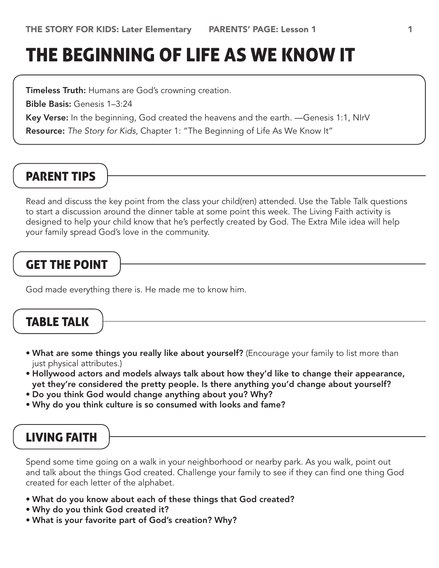# THE BEGINNING OF LIFE AS WE KNOW IT

**Timeless Truth:** Humans are God's crowning creation.

Bible Basis: Genesis 1–3:24

Key Verse: In the beginning, God created the heavens and the earth. —Genesis 1:1, NIrV

Resource: *The Story for Kids*, Chapter 1: "The Beginning of Life As We Know It"

# PARENT TIPS

Read and discuss the key point from the class your child(ren) attended. Use the Table Talk questions to start a discussion around the dinner table at some point this week. The Living Faith activity is designed to help your child know that he's perfectly created by God. The Extra Mile idea will help your family spread God's love in the community.

## GET THE POINT

God made everything there is. He made me to know him.

### TABLE TALK

- What are some things you really like about yourself? (Encourage your family to list more than just physical attributes.)
- Hollywood actors and models always talk about how they'd like to change their appearance, yet they're considered the pretty people. Is there anything you'd change about yourself?
- Do you think God would change anything about you? Why?
- Why do you think culture is so consumed with looks and fame?

## LIVING FAITH

Spend some time going on a walk in your neighborhood or nearby park. As you walk, point out and talk about the things God created. Challenge your family to see if they can find one thing God created for each letter of the alphabet.

- What do you know about each of these things that God created?
- Why do you think God created it?
- What is your favorite part of God's creation? Why?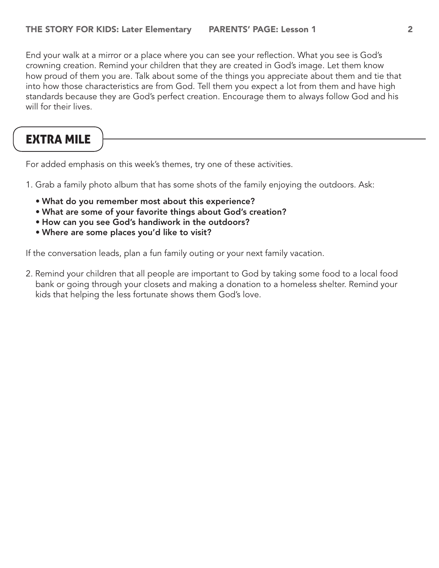End your walk at a mirror or a place where you can see your reflection. What you see is God's crowning creation. Remind your children that they are created in God's image. Let them know how proud of them you are. Talk about some of the things you appreciate about them and tie that into how those characteristics are from God. Tell them you expect a lot from them and have high standards because they are God's perfect creation. Encourage them to always follow God and his will for their lives.

## EXTRA MILE

For added emphasis on this week's themes, try one of these activities.

- 1. Grab a family photo album that has some shots of the family enjoying the outdoors. Ask:
	- What do you remember most about this experience?
	- What are some of your favorite things about God's creation?
	- How can you see God's handiwork in the outdoors?
	- Where are some places you'd like to visit?

If the conversation leads, plan a fun family outing or your next family vacation.

2. Remind your children that all people are important to God by taking some food to a local food bank or going through your closets and making a donation to a homeless shelter. Remind your kids that helping the less fortunate shows them God's love.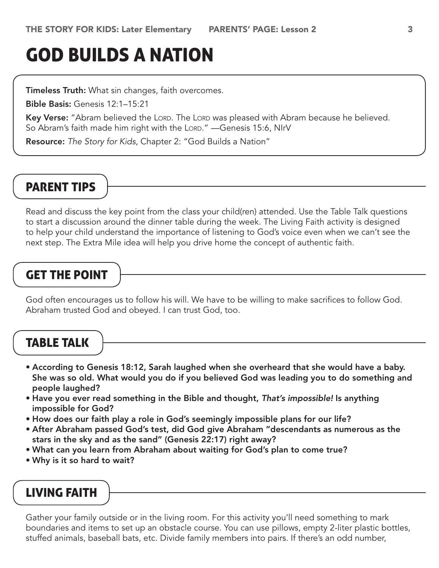# GOD BUILDS A NATION

**Timeless Truth:** What sin changes, faith overcomes.

Bible Basis: Genesis 12:1–15:21

Key Verse: "Abram believed the LORD. The LORD was pleased with Abram because he believed. So Abram's faith made him right with the LORD." —Genesis 15:6, NIrV

Resource: *The Story for Kids*, Chapter 2: "God Builds a Nation"

### PARENT TIPS

Read and discuss the key point from the class your child(ren) attended. Use the Table Talk questions to start a discussion around the dinner table during the week. The Living Faith activity is designed to help your child understand the importance of listening to God's voice even when we can't see the next step. The Extra Mile idea will help you drive home the concept of authentic faith.

### GET THE POINT

God often encourages us to follow his will. We have to be willing to make sacrifices to follow God. Abraham trusted God and obeyed. I can trust God, too.

### TABLE TALK

- According to Genesis 18:12, Sarah laughed when she overheard that she would have a baby. She was so old. What would you do if you believed God was leading you to do something and people laughed?
- Have you ever read something in the Bible and thought, *That's impossible!* Is anything impossible for God?
- How does our faith play a role in God's seemingly impossible plans for our life?
- After Abraham passed God's test, did God give Abraham "descendants as numerous as the stars in the sky and as the sand" (Genesis 22:17) right away?
- What can you learn from Abraham about waiting for God's plan to come true?
- Why is it so hard to wait?

### LIVING FAITH

Gather your family outside or in the living room. For this activity you'll need something to mark boundaries and items to set up an obstacle course. You can use pillows, empty 2-liter plastic bottles, stuffed animals, baseball bats, etc. Divide family members into pairs. If there's an odd number,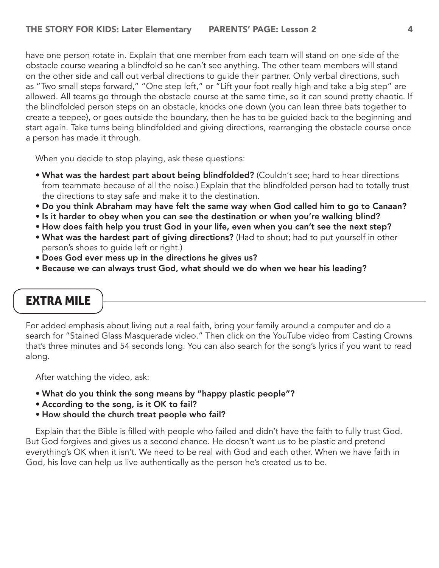have one person rotate in. Explain that one member from each team will stand on one side of the obstacle course wearing a blindfold so he can't see anything. The other team members will stand on the other side and call out verbal directions to guide their partner. Only verbal directions, such as "Two small steps forward," "One step left," or "Lift your foot really high and take a big step" are allowed. All teams go through the obstacle course at the same time, so it can sound pretty chaotic. If the blindfolded person steps on an obstacle, knocks one down (you can lean three bats together to create a teepee), or goes outside the boundary, then he has to be guided back to the beginning and start again. Take turns being blindfolded and giving directions, rearranging the obstacle course once a person has made it through.

When you decide to stop playing, ask these questions:

- What was the hardest part about being blindfolded? (Couldn't see; hard to hear directions from teammate because of all the noise.) Explain that the blindfolded person had to totally trust the directions to stay safe and make it to the destination.
- Do you think Abraham may have felt the same way when God called him to go to Canaan?
- Is it harder to obey when you can see the destination or when you're walking blind?
- How does faith help you trust God in your life, even when you can't see the next step?
- What was the hardest part of giving directions? (Had to shout; had to put yourself in other person's shoes to guide left or right.)
- Does God ever mess up in the directions he gives us?
- Because we can always trust God, what should we do when we hear his leading?

# EXTRA MILE

For added emphasis about living out a real faith, bring your family around a computer and do a search for "Stained Glass Masquerade video." Then click on the YouTube video from Casting Crowns that's three minutes and 54 seconds long. You can also search for the song's lyrics if you want to read along.

After watching the video, ask:

- What do you think the song means by "happy plastic people"?
- According to the song, is it OK to fail?
- How should the church treat people who fail?

Explain that the Bible is filled with people who failed and didn't have the faith to fully trust God. But God forgives and gives us a second chance. He doesn't want us to be plastic and pretend everything's OK when it isn't. We need to be real with God and each other. When we have faith in God, his love can help us live authentically as the person he's created us to be.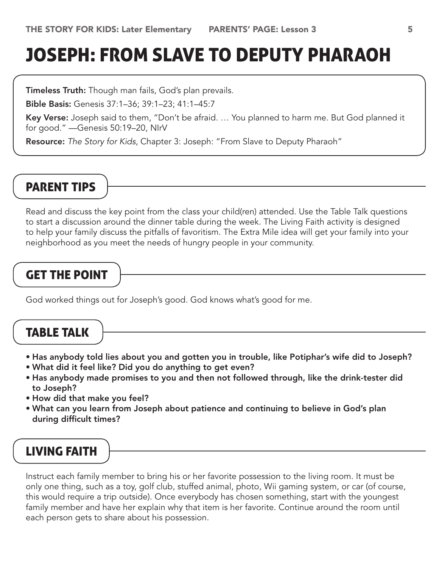# JOSEPH: FROM SLAVE TO DEPUTY PHARAOH

**Timeless Truth:** Though man fails, God's plan prevails.

Bible Basis: Genesis 37:1–36; 39:1–23; 41:1–45:7

Key Verse: Joseph said to them, "Don't be afraid. ... You planned to harm me. But God planned it for good." —Genesis 50:19–20, NIrV

Resource: *The Story for Kids*, Chapter 3: Joseph: "From Slave to Deputy Pharaoh"

### PARENT TIPS

Read and discuss the key point from the class your child(ren) attended. Use the Table Talk questions to start a discussion around the dinner table during the week. The Living Faith activity is designed to help your family discuss the pitfalls of favoritism. The Extra Mile idea will get your family into your neighborhood as you meet the needs of hungry people in your community.

### GET THE POINT

God worked things out for Joseph's good. God knows what's good for me.

### TABLE TALK

- Has anybody told lies about you and gotten you in trouble, like Potiphar's wife did to Joseph?
- What did it feel like? Did you do anything to get even?
- Has anybody made promises to you and then not followed through, like the drink-tester did to Joseph?
- How did that make you feel?
- What can you learn from Joseph about patience and continuing to believe in God's plan during difficult times?

### LIVING FAITH

Instruct each family member to bring his or her favorite possession to the living room. It must be only one thing, such as a toy, golf club, stuffed animal, photo, Wii gaming system, or car (of course, this would require a trip outside). Once everybody has chosen something, start with the youngest family member and have her explain why that item is her favorite. Continue around the room until each person gets to share about his possession.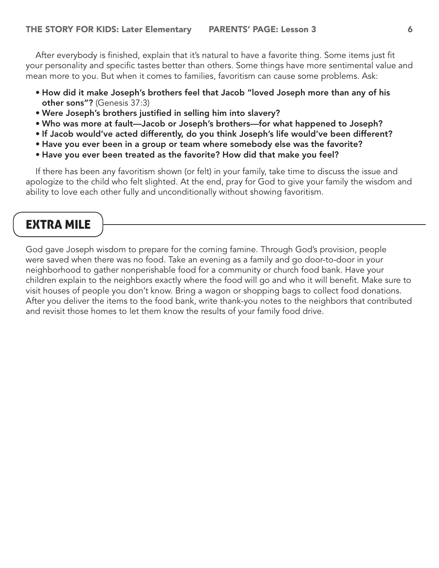After everybody is finished, explain that it's natural to have a favorite thing. Some items just fit your personality and specific tastes better than others. Some things have more sentimental value and mean more to you. But when it comes to families, favoritism can cause some problems. Ask:

- How did it make Joseph's brothers feel that Jacob "loved Joseph more than any of his other sons"? (Genesis 37:3)
- Were Joseph's brothers justified in selling him into slavery?
- Who was more at fault—Jacob or Joseph's brothers—for what happened to Joseph?
- If Jacob would've acted differently, do you think Joseph's life would've been different?
- Have you ever been in a group or team where somebody else was the favorite?
- Have you ever been treated as the favorite? How did that make you feel?

If there has been any favoritism shown (or felt) in your family, take time to discuss the issue and apologize to the child who felt slighted. At the end, pray for God to give your family the wisdom and ability to love each other fully and unconditionally without showing favoritism.

### EXTRA MILE

God gave Joseph wisdom to prepare for the coming famine. Through God's provision, people were saved when there was no food. Take an evening as a family and go door-to-door in your neighborhood to gather nonperishable food for a community or church food bank. Have your children explain to the neighbors exactly where the food will go and who it will benefit. Make sure to visit houses of people you don't know. Bring a wagon or shopping bags to collect food donations. After you deliver the items to the food bank, write thank-you notes to the neighbors that contributed and revisit those homes to let them know the results of your family food drive.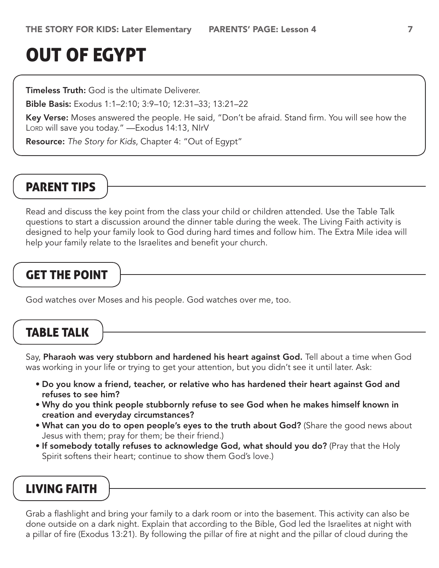# OUT OF EGYPT

**Timeless Truth:** God is the ultimate Deliverer.

Bible Basis: Exodus 1:1–2:10; 3:9*–*10; 12:31*–*33; 13:21–22

Key Verse: Moses answered the people. He said, "Don't be afraid. Stand firm. You will see how the LORD will save you today." —Exodus 14:13, NIrV

Resource: *The Story for Kids*, Chapter 4: "Out of Egypt"

### PARENT TIPS

Read and discuss the key point from the class your child or children attended. Use the Table Talk questions to start a discussion around the dinner table during the week. The Living Faith activity is designed to help your family look to God during hard times and follow him. The Extra Mile idea will help your family relate to the Israelites and benefit your church.

### GET THE POINT

God watches over Moses and his people. God watches over me, too.

### TABLE TALK

Say, Pharaoh was very stubborn and hardened his heart against God. Tell about a time when God was working in your life or trying to get your attention, but you didn't see it until later. Ask:

- Do you know a friend, teacher, or relative who has hardened their heart against God and refuses to see him?
- Why do you think people stubbornly refuse to see God when he makes himself known in creation and everyday circumstances?
- What can you do to open people's eyes to the truth about God? (Share the good news about Jesus with them; pray for them; be their friend.)
- If somebody totally refuses to acknowledge God, what should you do? (Pray that the Holy Spirit softens their heart; continue to show them God's love.)

### LIVING FAITH

Grab a flashlight and bring your family to a dark room or into the basement. This activity can also be done outside on a dark night. Explain that according to the Bible, God led the Israelites at night with a pillar of fire (Exodus 13:21). By following the pillar of fire at night and the pillar of cloud during the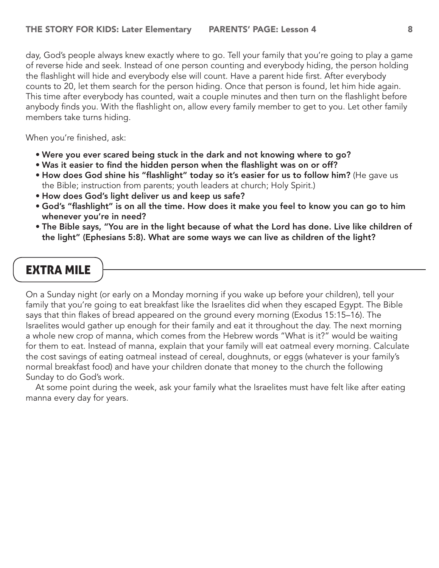day, God's people always knew exactly where to go. Tell your family that you're going to play a game of reverse hide and seek. Instead of one person counting and everybody hiding, the person holding the flashlight will hide and everybody else will count. Have a parent hide first. After everybody counts to 20, let them search for the person hiding. Once that person is found, let him hide again. This time after everybody has counted, wait a couple minutes and then turn on the flashlight before anybody finds you. With the flashlight on, allow every family member to get to you. Let other family members take turns hiding.

When you're finished, ask:

- Were you ever scared being stuck in the dark and not knowing where to go?
- Was it easier to find the hidden person when the flashlight was on or off?
- How does God shine his "flashlight" today so it's easier for us to follow him? (He gave us the Bible; instruction from parents; youth leaders at church; Holy Spirit.)
- How does God's light deliver us and keep us safe?
- God's "flashlight" is on all the time. How does it make you feel to know you can go to him whenever you're in need?
- The Bible says, "You are in the light because of what the Lord has done. Live like children of the light" (Ephesians 5:8). What are some ways we can live as children of the light?

### EXTRA MILE

On a Sunday night (or early on a Monday morning if you wake up before your children), tell your family that you're going to eat breakfast like the Israelites did when they escaped Egypt. The Bible says that thin flakes of bread appeared on the ground every morning (Exodus 15:15–16). The Israelites would gather up enough for their family and eat it throughout the day. The next morning a whole new crop of manna, which comes from the Hebrew words "What is it?" would be waiting for them to eat. Instead of manna, explain that your family will eat oatmeal every morning. Calculate the cost savings of eating oatmeal instead of cereal, doughnuts, or eggs (whatever is your family's normal breakfast food) and have your children donate that money to the church the following Sunday to do God's work.

At some point during the week, ask your family what the Israelites must have felt like after eating manna every day for years.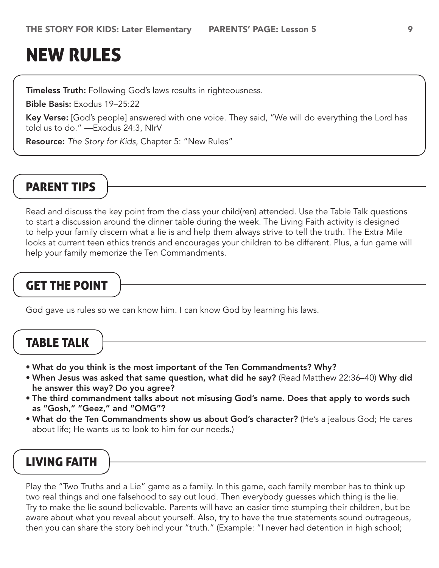# NEW RULES

**Timeless Truth:** Following God's laws results in righteousness.

Bible Basis: Exodus 19–25:22

Key Verse: [God's people] answered with one voice. They said, "We will do everything the Lord has told us to do." —Exodus 24:3, NIrV

Resource: *The Story for Kids*, Chapter 5: "New Rules"

### PARENT TIPS

Read and discuss the key point from the class your child(ren) attended. Use the Table Talk questions to start a discussion around the dinner table during the week. The Living Faith activity is designed to help your family discern what a lie is and help them always strive to tell the truth. The Extra Mile looks at current teen ethics trends and encourages your children to be different. Plus, a fun game will help your family memorize the Ten Commandments.

### GET THE POINT

God gave us rules so we can know him. I can know God by learning his laws.

### TABLE TALK

- What do you think is the most important of the Ten Commandments? Why?
- When Jesus was asked that same question, what did he say? (Read Matthew 22:36–40) Why did he answer this way? Do you agree?
- The third commandment talks about not misusing God's name. Does that apply to words such as "Gosh," "Geez," and "OMG"?
- What do the Ten Commandments show us about God's character? (He's a jealous God; He cares about life; He wants us to look to him for our needs.)

## LIVING FAITH

Play the "Two Truths and a Lie" game as a family. In this game, each family member has to think up two real things and one falsehood to say out loud. Then everybody guesses which thing is the lie. Try to make the lie sound believable. Parents will have an easier time stumping their children, but be aware about what you reveal about yourself. Also, try to have the true statements sound outrageous, then you can share the story behind your "truth." (Example: "I never had detention in high school;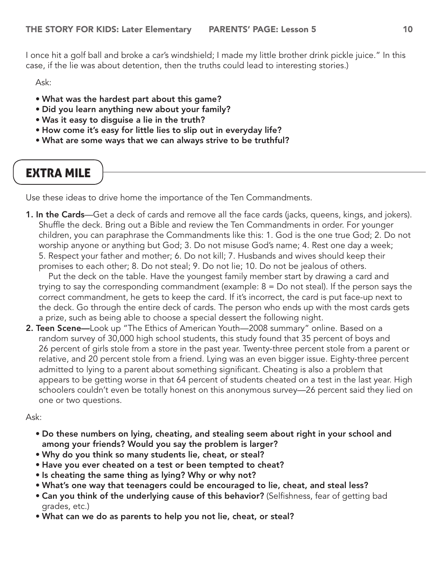I once hit a golf ball and broke a car's windshield; I made my little brother drink pickle juice." In this case, if the lie was about detention, then the truths could lead to interesting stories.)

Ask:

- What was the hardest part about this game?
- Did you learn anything new about your family?
- Was it easy to disguise a lie in the truth?
- How come it's easy for little lies to slip out in everyday life?
- What are some ways that we can always strive to be truthful?

# EXTRA MILE

Use these ideas to drive home the importance of the Ten Commandments.

**1. In the Cards**—Get a deck of cards and remove all the face cards (jacks, queens, kings, and jokers). Shuffle the deck. Bring out a Bible and review the Ten Commandments in order. For younger children, you can paraphrase the Commandments like this: 1. God is the one true God; 2. Do not worship anyone or anything but God; 3. Do not misuse God's name; 4. Rest one day a week; 5. Respect your father and mother; 6. Do not kill; 7. Husbands and wives should keep their promises to each other; 8. Do not steal; 9. Do not lie; 10. Do not be jealous of others.

Put the deck on the table. Have the youngest family member start by drawing a card and trying to say the corresponding commandment (example: 8 = Do not steal). If the person says the correct commandment, he gets to keep the card. If it's incorrect, the card is put face-up next to the deck. Go through the entire deck of cards. The person who ends up with the most cards gets a prize, such as being able to choose a special dessert the following night.

2. Teen Scene—Look up "The Ethics of American Youth—2008 summary" online. Based on a random survey of 30,000 high school students, this study found that 35 percent of boys and 26 percent of girls stole from a store in the past year. Twenty-three percent stole from a parent or relative, and 20 percent stole from a friend. Lying was an even bigger issue. Eighty-three percent admitted to lying to a parent about something significant. Cheating is also a problem that appears to be getting worse in that 64 percent of students cheated on a test in the last year. High schoolers couldn't even be totally honest on this anonymous survey—26 percent said they lied on one or two questions.

Ask:

- Do these numbers on lying, cheating, and stealing seem about right in your school and among your friends? Would you say the problem is larger?
- Why do you think so many students lie, cheat, or steal?
- Have you ever cheated on a test or been tempted to cheat?
- Is cheating the same thing as lying? Why or why not?
- What's one way that teenagers could be encouraged to lie, cheat, and steal less?
- Can you think of the underlying cause of this behavior? (Selfishness, fear of getting bad grades, etc.)
- What can we do as parents to help you not lie, cheat, or steal?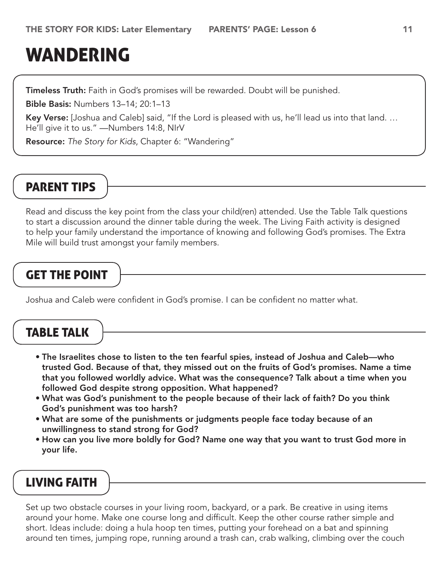# WANDERING

Timeless Truth: Faith in God's promises will be rewarded. Doubt will be punished.

Bible Basis: Numbers 13–14; 20:1–13

Key Verse: [Joshua and Caleb] said, "If the Lord is pleased with us, he'll lead us into that land. ... He'll give it to us." —Numbers 14:8, NIrV

Resource: *The Story for Kids*, Chapter 6: "Wandering"

### PARENT TIPS

Read and discuss the key point from the class your child(ren) attended. Use the Table Talk questions to start a discussion around the dinner table during the week. The Living Faith activity is designed to help your family understand the importance of knowing and following God's promises. The Extra Mile will build trust amongst your family members.

## GET THE POINT

Joshua and Caleb were confident in God's promise. I can be confident no matter what.

### TABLE TALK

- The Israelites chose to listen to the ten fearful spies, instead of Joshua and Caleb—who trusted God. Because of that, they missed out on the fruits of God's promises. Name a time that you followed worldly advice. What was the consequence? Talk about a time when you followed God despite strong opposition. What happened?
- What was God's punishment to the people because of their lack of faith? Do you think God's punishment was too harsh?
- What are some of the punishments or judgments people face today because of an unwillingness to stand strong for God?
- How can you live more boldly for God? Name one way that you want to trust God more in your life.

### LIVING FAITH

Set up two obstacle courses in your living room, backyard, or a park. Be creative in using items around your home. Make one course long and difficult. Keep the other course rather simple and short. Ideas include: doing a hula hoop ten times, putting your forehead on a bat and spinning around ten times, jumping rope, running around a trash can, crab walking, climbing over the couch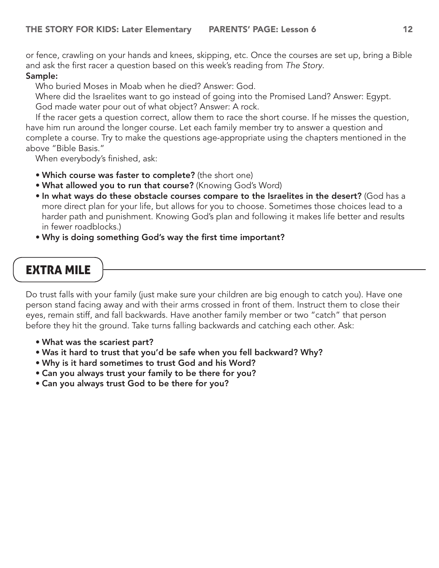or fence, crawling on your hands and knees, skipping, etc. Once the courses are set up, bring a Bible and ask the first racer a question based on this week's reading from *The Story*.

#### Sample:

Who buried Moses in Moab when he died? Answer: God.

Where did the Israelites want to go instead of going into the Promised Land? Answer: Egypt. God made water pour out of what object? Answer: A rock.

If the racer gets a question correct, allow them to race the short course. If he misses the question, have him run around the longer course. Let each family member try to answer a question and complete a course. Try to make the questions age-appropriate using the chapters mentioned in the above "Bible Basis."

When everybody's finished, ask:

- Which course was faster to complete? (the short one)
- What allowed you to run that course? (Knowing God's Word)
- In what ways do these obstacle courses compare to the Israelites in the desert? (God has a more direct plan for your life, but allows for you to choose. Sometimes those choices lead to a harder path and punishment. Knowing God's plan and following it makes life better and results in fewer roadblocks.)
- Why is doing something God's way the first time important?

## EXTRA MILE

Do trust falls with your family (just make sure your children are big enough to catch you). Have one person stand facing away and with their arms crossed in front of them. Instruct them to close their eyes, remain stiff, and fall backwards. Have another family member or two "catch" that person before they hit the ground. Take turns falling backwards and catching each other. Ask:

- What was the scariest part?
- Was it hard to trust that you'd be safe when you fell backward? Why?
- Why is it hard sometimes to trust God and his Word?
- Can you always trust your family to be there for you?
- Can you always trust God to be there for you?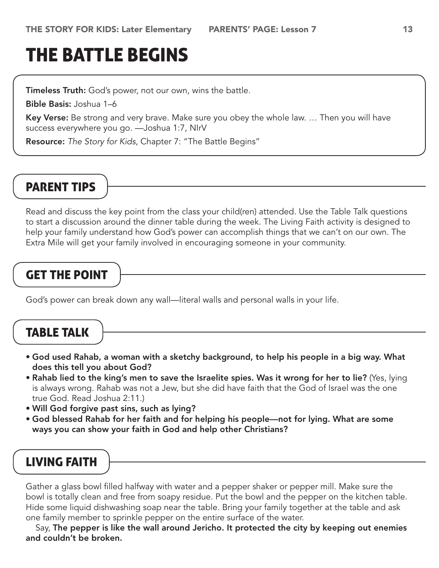# THE BATTLE BEGINS

**Timeless Truth:** God's power, not our own, wins the battle.

Bible Basis: Joshua 1–6

Key Verse: Be strong and very brave. Make sure you obey the whole law. ... Then you will have success everywhere you go. —Joshua 1:7, NIrV

Resource: *The Story for Kids*, Chapter 7: "The Battle Begins"

### PARENT TIPS

Read and discuss the key point from the class your child(ren) attended. Use the Table Talk questions to start a discussion around the dinner table during the week. The Living Faith activity is designed to help your family understand how God's power can accomplish things that we can't on our own. The Extra Mile will get your family involved in encouraging someone in your community.

### GET THE POINT

God's power can break down any wall—literal walls and personal walls in your life.

### TABLE TALK

- God used Rahab, a woman with a sketchy background, to help his people in a big way. What does this tell you about God?
- Rahab lied to the king's men to save the Israelite spies. Was it wrong for her to lie? (Yes, lying is always wrong. Rahab was not a Jew, but she did have faith that the God of Israel was the one true God. Read Joshua 2:11.)
- Will God forgive past sins, such as lying?
- God blessed Rahab for her faith and for helping his people—not for lying. What are some ways you can show your faith in God and help other Christians?

### LIVING FAITH

Gather a glass bowl filled halfway with water and a pepper shaker or pepper mill. Make sure the bowl is totally clean and free from soapy residue. Put the bowl and the pepper on the kitchen table. Hide some liquid dishwashing soap near the table. Bring your family together at the table and ask one family member to sprinkle pepper on the entire surface of the water.

Say, The pepper is like the wall around Jericho. It protected the city by keeping out enemies and couldn't be broken.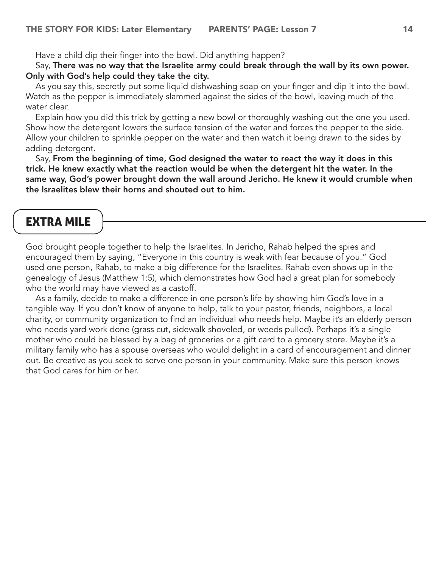Have a child dip their finger into the bowl. Did anything happen?

Say, There was no way that the Israelite army could break through the wall by its own power. Only with God's help could they take the city.

As you say this, secretly put some liquid dishwashing soap on your finger and dip it into the bowl. Watch as the pepper is immediately slammed against the sides of the bowl, leaving much of the water clear.

Explain how you did this trick by getting a new bowl or thoroughly washing out the one you used. Show how the detergent lowers the surface tension of the water and forces the pepper to the side. Allow your children to sprinkle pepper on the water and then watch it being drawn to the sides by adding detergent.

Say, From the beginning of time, God designed the water to react the way it does in this trick. He knew exactly what the reaction would be when the detergent hit the water. In the same way, God's power brought down the wall around Jericho. He knew it would crumble when the Israelites blew their horns and shouted out to him.

#### EXTRA MILE

God brought people together to help the Israelites. In Jericho, Rahab helped the spies and encouraged them by saying, "Everyone in this country is weak with fear because of you." God used one person, Rahab, to make a big difference for the Israelites. Rahab even shows up in the genealogy of Jesus (Matthew 1:5), which demonstrates how God had a great plan for somebody who the world may have viewed as a castoff.

As a family, decide to make a difference in one person's life by showing him God's love in a tangible way. If you don't know of anyone to help, talk to your pastor, friends, neighbors, a local charity, or community organization to find an individual who needs help. Maybe it's an elderly person who needs yard work done (grass cut, sidewalk shoveled, or weeds pulled). Perhaps it's a single mother who could be blessed by a bag of groceries or a gift card to a grocery store. Maybe it's a military family who has a spouse overseas who would delight in a card of encouragement and dinner out. Be creative as you seek to serve one person in your community. Make sure this person knows that God cares for him or her.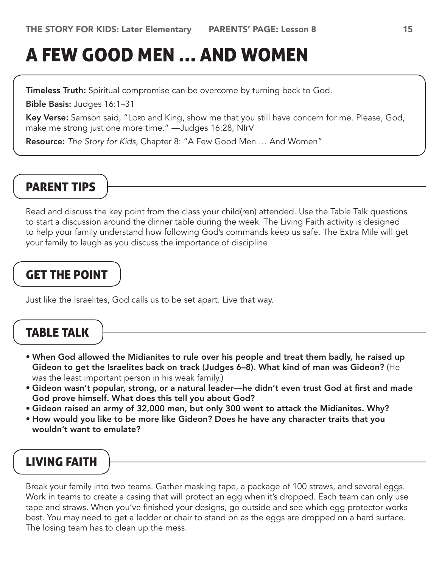# A FEW GOOD MEN … AND WOMEN

**Timeless Truth:** Spiritual compromise can be overcome by turning back to God.

Bible Basis: Judges 16:1–31

Key Verse: Samson said, "Lord and King, show me that you still have concern for me. Please, God, make me strong just one more time." —Judges 16:28, NIrV

Resource: *The Story for Kids*, Chapter 8: "A Few Good Men … And Women"

### PARENT TIPS

Read and discuss the key point from the class your child(ren) attended. Use the Table Talk questions to start a discussion around the dinner table during the week. The Living Faith activity is designed to help your family understand how following God's commands keep us safe. The Extra Mile will get your family to laugh as you discuss the importance of discipline.

### GET THE POINT

Just like the Israelites, God calls us to be set apart. Live that way.

### TABLE TALK

- When God allowed the Midianites to rule over his people and treat them badly, he raised up Gideon to get the Israelites back on track (Judges 6–8). What kind of man was Gideon? (He was the least important person in his weak family.)
- Gideon wasn't popular, strong, or a natural leader—he didn't even trust God at first and made God prove himself. What does this tell you about God?
- Gideon raised an army of 32,000 men, but only 300 went to attack the Midianites. Why?
- How would you like to be more like Gideon? Does he have any character traits that you wouldn't want to emulate?

### LIVING FAITH

Break your family into two teams. Gather masking tape, a package of 100 straws, and several eggs. Work in teams to create a casing that will protect an egg when it's dropped. Each team can only use tape and straws. When you've finished your designs, go outside and see which egg protector works best. You may need to get a ladder or chair to stand on as the eggs are dropped on a hard surface. The losing team has to clean up the mess.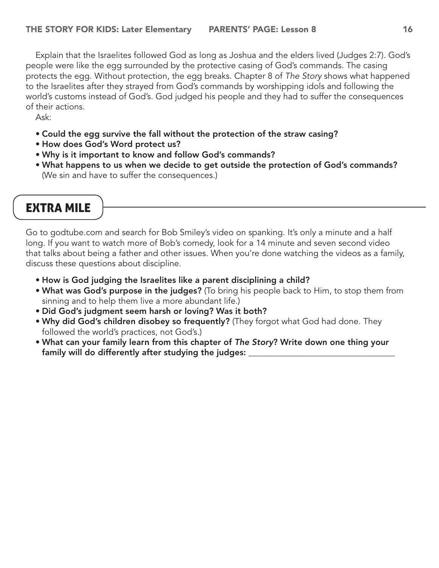Explain that the Israelites followed God as long as Joshua and the elders lived (Judges 2:7). God's people were like the egg surrounded by the protective casing of God's commands. The casing protects the egg. Without protection, the egg breaks. Chapter 8 of *The Story* shows what happened to the Israelites after they strayed from God's commands by worshipping idols and following the world's customs instead of God's. God judged his people and they had to suffer the consequences of their actions.

Ask:

- Could the egg survive the fall without the protection of the straw casing?
- How does God's Word protect us?
- Why is it important to know and follow God's commands?
- What happens to us when we decide to get outside the protection of God's commands? (We sin and have to suffer the consequences.)

# EXTRA MILE

Go to godtube.com and search for Bob Smiley's video on spanking. It's only a minute and a half long. If you want to watch more of Bob's comedy, look for a 14 minute and seven second video that talks about being a father and other issues. When you're done watching the videos as a family, discuss these questions about discipline.

- How is God judging the Israelites like a parent disciplining a child?
- What was God's purpose in the judges? (To bring his people back to Him, to stop them from sinning and to help them live a more abundant life.)
- Did God's judgment seem harsh or loving? Was it both?
- Why did God's children disobey so frequently? (They forgot what God had done. They followed the world's practices, not God's.)
- What can your family learn from this chapter of *The Story*? Write down one thing your family will do differently after studying the judges: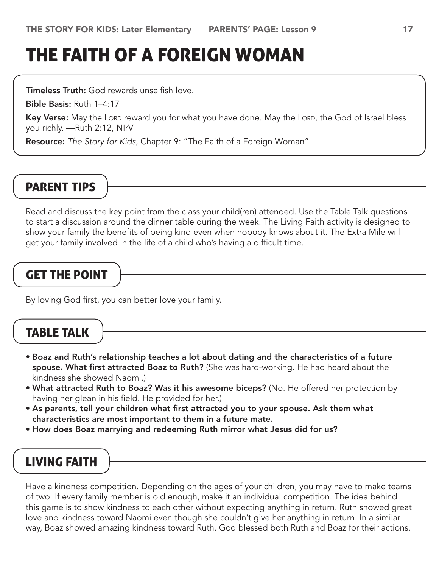# THE FAITH OF A FOREIGN WOMAN

**Timeless Truth:** God rewards unselfish love.

Bible Basis: Ruth 1–4:17

Key Verse: May the LORD reward you for what you have done. May the LORD, the God of Israel bless you richly. —Ruth 2:12, NIrV

Resource: *The Story for Kids*, Chapter 9: "The Faith of a Foreign Woman"

### PARENT TIPS

Read and discuss the key point from the class your child(ren) attended. Use the Table Talk questions to start a discussion around the dinner table during the week. The Living Faith activity is designed to show your family the benefits of being kind even when nobody knows about it. The Extra Mile will get your family involved in the life of a child who's having a difficult time.

## GET THE POINT

By loving God first, you can better love your family.

## TABLE TALK

- Boaz and Ruth's relationship teaches a lot about dating and the characteristics of a future spouse. What first attracted Boaz to Ruth? (She was hard-working. He had heard about the kindness she showed Naomi.)
- What attracted Ruth to Boaz? Was it his awesome biceps? (No. He offered her protection by having her glean in his field. He provided for her.)
- As parents, tell your children what first attracted you to your spouse. Ask them what characteristics are most important to them in a future mate.
- How does Boaz marrying and redeeming Ruth mirror what Jesus did for us?

# LIVING FAITH

Have a kindness competition. Depending on the ages of your children, you may have to make teams of two. If every family member is old enough, make it an individual competition. The idea behind this game is to show kindness to each other without expecting anything in return. Ruth showed great love and kindness toward Naomi even though she couldn't give her anything in return. In a similar way, Boaz showed amazing kindness toward Ruth. God blessed both Ruth and Boaz for their actions.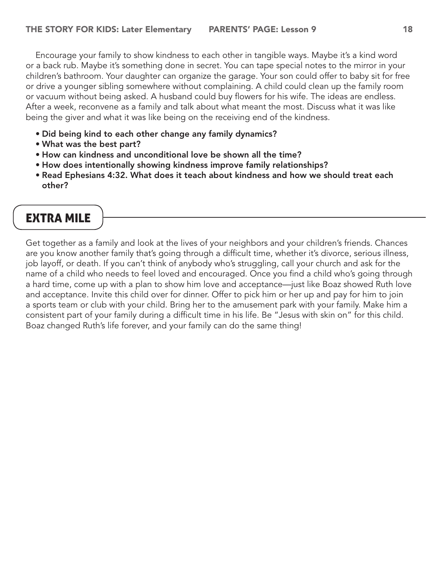Encourage your family to show kindness to each other in tangible ways. Maybe it's a kind word or a back rub. Maybe it's something done in secret. You can tape special notes to the mirror in your children's bathroom. Your daughter can organize the garage. Your son could offer to baby sit for free or drive a younger sibling somewhere without complaining. A child could clean up the family room or vacuum without being asked. A husband could buy flowers for his wife. The ideas are endless. After a week, reconvene as a family and talk about what meant the most. Discuss what it was like being the giver and what it was like being on the receiving end of the kindness.

- Did being kind to each other change any family dynamics?
- What was the best part?
- How can kindness and unconditional love be shown all the time?
- How does intentionally showing kindness improve family relationships?
- Read Ephesians 4:32. What does it teach about kindness and how we should treat each other?

### EXTRA MILE

Get together as a family and look at the lives of your neighbors and your children's friends. Chances are you know another family that's going through a difficult time, whether it's divorce, serious illness, job layoff, or death. If you can't think of anybody who's struggling, call your church and ask for the name of a child who needs to feel loved and encouraged. Once you find a child who's going through a hard time, come up with a plan to show him love and acceptance—just like Boaz showed Ruth love and acceptance. Invite this child over for dinner. Offer to pick him or her up and pay for him to join a sports team or club with your child. Bring her to the amusement park with your family. Make him a consistent part of your family during a difficult time in his life. Be "Jesus with skin on" for this child. Boaz changed Ruth's life forever, and your family can do the same thing!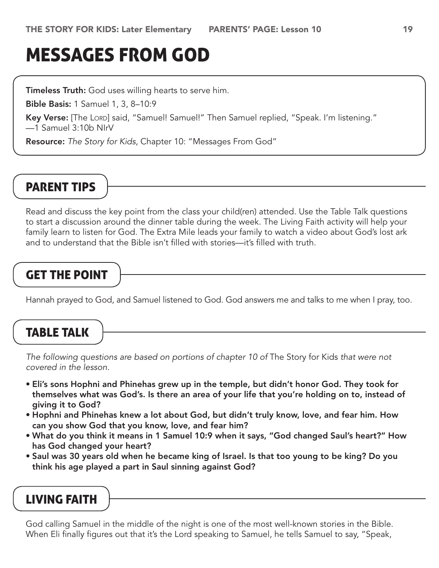# MESSAGES FROM GOD

**Timeless Truth:** God uses willing hearts to serve him.

Bible Basis: 1 Samuel 1, 3, 8–10:9

Key Verse: [The LORD] said, "Samuel! Samuel!" Then Samuel replied, "Speak. I'm listening." —1 Samuel 3:10b NIrV

Resource: *The Story for Kids*, Chapter 10: "Messages From God"

### PARENT TIPS

Read and discuss the key point from the class your child(ren) attended. Use the Table Talk questions to start a discussion around the dinner table during the week. The Living Faith activity will help your family learn to listen for God. The Extra Mile leads your family to watch a video about God's lost ark and to understand that the Bible isn't filled with stories—it's filled with truth.

### GET THE POINT

Hannah prayed to God, and Samuel listened to God. God answers me and talks to me when I pray, too.

### TABLE TALK

*The following questions are based on portions of chapter 10 of* The Story for Kids *that were not covered in the lesson.*

- Eli's sons Hophni and Phinehas grew up in the temple, but didn't honor God. They took for themselves what was God's. Is there an area of your life that you're holding on to, instead of giving it to God?
- Hophni and Phinehas knew a lot about God, but didn't truly know, love, and fear him. How can you show God that you know, love, and fear him?
- What do you think it means in 1 Samuel 10:9 when it says, "God changed Saul's heart?" How has God changed your heart?
- Saul was 30 years old when he became king of Israel. Is that too young to be king? Do you think his age played a part in Saul sinning against God?

### LIVING FAITH

God calling Samuel in the middle of the night is one of the most well-known stories in the Bible. When Eli finally figures out that it's the Lord speaking to Samuel, he tells Samuel to say, "Speak,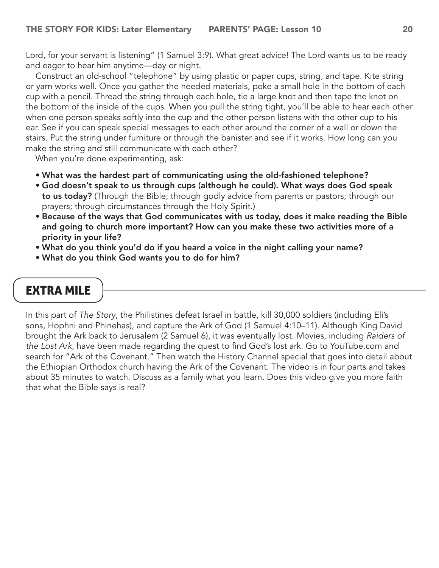Lord, for your servant is listening" (1 Samuel 3:9). What great advice! The Lord wants us to be ready and eager to hear him anytime—day or night.

Construct an old-school "telephone" by using plastic or paper cups, string, and tape. Kite string or yarn works well. Once you gather the needed materials, poke a small hole in the bottom of each cup with a pencil. Thread the string through each hole, tie a large knot and then tape the knot on the bottom of the inside of the cups. When you pull the string tight, you'll be able to hear each other when one person speaks softly into the cup and the other person listens with the other cup to his ear. See if you can speak special messages to each other around the corner of a wall or down the stairs. Put the string under furniture or through the banister and see if it works. How long can you make the string and still communicate with each other?

When you're done experimenting, ask:

- What was the hardest part of communicating using the old-fashioned telephone?
- God doesn't speak to us through cups (although he could). What ways does God speak to us today? (Through the Bible; through godly advice from parents or pastors; through our prayers; through circumstances through the Holy Spirit.)
- Because of the ways that God communicates with us today, does it make reading the Bible and going to church more important? How can you make these two activities more of a priority in your life?
- What do you think you'd do if you heard a voice in the night calling your name?
- What do you think God wants you to do for him?

## EXTRA MILE

In this part of *The Story*, the Philistines defeat Israel in battle, kill 30,000 soldiers (including Eli's sons, Hophni and Phinehas), and capture the Ark of God (1 Samuel 4:10–11). Although King David brought the Ark back to Jerusalem (2 Samuel 6), it was eventually lost. Movies, including *Raiders of the Lost Ark*, have been made regarding the quest to find God's lost ark. Go to YouTube.com and search for "Ark of the Covenant." Then watch the History Channel special that goes into detail about the Ethiopian Orthodox church having the Ark of the Covenant. The video is in four parts and takes about 35 minutes to watch. Discuss as a family what you learn. Does this video give you more faith that what the Bible says is real?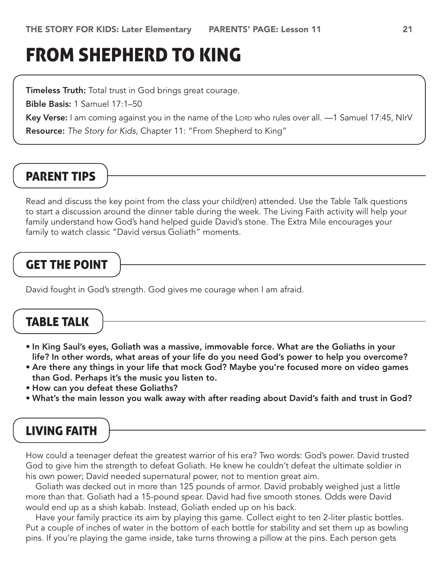# FROM SHEPHERD TO KING

**Timeless Truth:** Total trust in God brings great courage.

Bible Basis: 1 Samuel 17:1–50

Key Verse: I am coming against you in the name of the Lord who rules over all. —1 Samuel 17:45, NIrV Resource: *The Story for Kids*, Chapter 11: "From Shepherd to King"

## PARENT TIPS

Read and discuss the key point from the class your child(ren) attended. Use the Table Talk questions to start a discussion around the dinner table during the week. The Living Faith activity will help your family understand how God's hand helped guide David's stone. The Extra Mile encourages your family to watch classic "David versus Goliath" moments.

### GET THE POINT

David fought in God's strength. God gives me courage when I am afraid.

### TABLE TALK

- In King Saul's eyes, Goliath was a massive, immovable force. What are the Goliaths in your life? In other words, what areas of your life do you need God's power to help you overcome?
- Are there any things in your life that mock God? Maybe you're focused more on video games than God. Perhaps it's the music you listen to.
- How can you defeat these Goliaths?
- What's the main lesson you walk away with after reading about David's faith and trust in God?

### LIVING FAITH

How could a teenager defeat the greatest warrior of his era? Two words: God's power. David trusted God to give him the strength to defeat Goliath. He knew he couldn't defeat the ultimate soldier in his own power; David needed supernatural power, not to mention great aim.

Goliath was decked out in more than 125 pounds of armor. David probably weighed just a little more than that. Goliath had a 15-pound spear. David had five smooth stones. Odds were David would end up as a shish kabab. Instead, Goliath ended up on his back.

Have your family practice its aim by playing this game. Collect eight to ten 2-liter plastic bottles. Put a couple of inches of water in the bottom of each bottle for stability and set them up as bowling pins. If you're playing the game inside, take turns throwing a pillow at the pins. Each person gets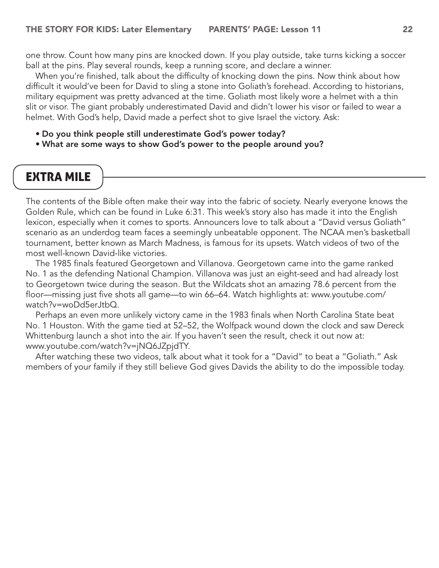one throw. Count how many pins are knocked down. If you play outside, take turns kicking a soccer ball at the pins. Play several rounds, keep a running score, and declare a winner.

When you're finished, talk about the difficulty of knocking down the pins. Now think about how difficult it would've been for David to sling a stone into Goliath's forehead. According to historians, military equipment was pretty advanced at the time. Goliath most likely wore a helmet with a thin slit or visor. The giant probably underestimated David and didn't lower his visor or failed to wear a helmet. With God's help, David made a perfect shot to give Israel the victory. Ask:

- Do you think people still underestimate God's power today?
- What are some ways to show God's power to the people around you?

### EXTRA MILE

The contents of the Bible often make their way into the fabric of society. Nearly everyone knows the Golden Rule, which can be found in Luke 6:31. This week's story also has made it into the English lexicon, especially when it comes to sports. Announcers love to talk about a "David versus Goliath" scenario as an underdog team faces a seemingly unbeatable opponent. The NCAA men's basketball tournament, better known as March Madness, is famous for its upsets. Watch videos of two of the most well-known David-like victories.

The 1985 finals featured Georgetown and Villanova. Georgetown came into the game ranked No. 1 as the defending National Champion. Villanova was just an eight-seed and had already lost to Georgetown twice during the season. But the Wildcats shot an amazing 78.6 percent from the floor—missing just five shots all game—to win 66–64. Watch highlights at: www.youtube.com/ watch?v=woDd5erJtbQ.

Perhaps an even more unlikely victory came in the 1983 finals when North Carolina State beat No. 1 Houston. With the game tied at 52–52, the Wolfpack wound down the clock and saw Dereck Whittenburg launch a shot into the air. If you haven't seen the result, check it out now at: www.youtube.com/watch?v=jNQ6JZpjdTY.

After watching these two videos, talk about what it took for a "David" to beat a "Goliath." Ask members of your family if they still believe God gives Davids the ability to do the impossible today.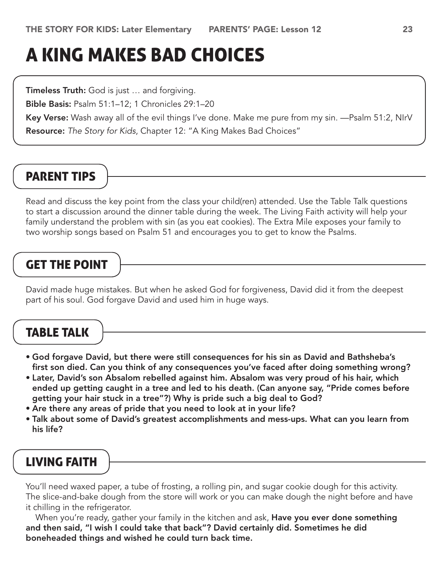# A KING MAKES BAD CHOICES

**Timeless Truth:** God is just ... and forgiving.

Bible Basis: Psalm 51:1–12; 1 Chronicles 29:1–20

Key Verse: Wash away all of the evil things I've done. Make me pure from my sin. —Psalm 51:2, NIrV Resource: *The Story for Kids*, Chapter 12: "A King Makes Bad Choices"

# PARENT TIPS

Read and discuss the key point from the class your child(ren) attended. Use the Table Talk questions to start a discussion around the dinner table during the week. The Living Faith activity will help your family understand the problem with sin (as you eat cookies). The Extra Mile exposes your family to two worship songs based on Psalm 51 and encourages you to get to know the Psalms.

### GET THE POINT

David made huge mistakes. But when he asked God for forgiveness, David did it from the deepest part of his soul. God forgave David and used him in huge ways.

### TABLE TALK

- God forgave David, but there were still consequences for his sin as David and Bathsheba's first son died. Can you think of any consequences you've faced after doing something wrong?
- Later, David's son Absalom rebelled against him. Absalom was very proud of his hair, which ended up getting caught in a tree and led to his death. (Can anyone say, "Pride comes before getting your hair stuck in a tree"?) Why is pride such a big deal to God?
- Are there any areas of pride that you need to look at in your life?
- Talk about some of David's greatest accomplishments and mess-ups. What can you learn from his life?

## LIVING FAITH

You'll need waxed paper, a tube of frosting, a rolling pin, and sugar cookie dough for this activity. The slice-and-bake dough from the store will work or you can make dough the night before and have it chilling in the refrigerator.

When you're ready, gather your family in the kitchen and ask, Have you ever done something and then said, "I wish I could take that back"? David certainly did. Sometimes he did boneheaded things and wished he could turn back time.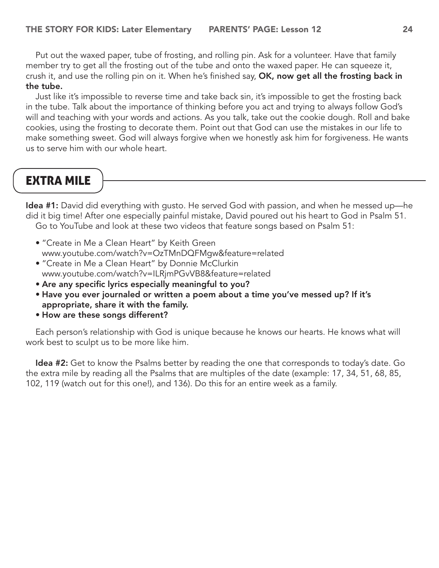Put out the waxed paper, tube of frosting, and rolling pin. Ask for a volunteer. Have that family member try to get all the frosting out of the tube and onto the waxed paper. He can squeeze it, crush it, and use the rolling pin on it. When he's finished say, OK, now get all the frosting back in the tube.

Just like it's impossible to reverse time and take back sin, it's impossible to get the frosting back in the tube. Talk about the importance of thinking before you act and trying to always follow God's will and teaching with your words and actions. As you talk, take out the cookie dough. Roll and bake cookies, using the frosting to decorate them. Point out that God can use the mistakes in our life to make something sweet. God will always forgive when we honestly ask him for forgiveness. He wants us to serve him with our whole heart.

### EXTRA MILE

Idea #1: David did everything with gusto. He served God with passion, and when he messed up—he did it big time! After one especially painful mistake, David poured out his heart to God in Psalm 51. Go to YouTube and look at these two videos that feature songs based on Psalm 51:

- "Create in Me a Clean Heart" by Keith Green www.youtube.com/watch?v=OzTMnDQFMgw&feature=related
- "Create in Me a Clean Heart" by Donnie McClurkin www.youtube.com/watch?v=ILRjmPGvVB8&feature=related
- Are any specific lyrics especially meaningful to you?
- Have you ever journaled or written a poem about a time you've messed up? If it's appropriate, share it with the family.
- How are these songs different?

Each person's relationship with God is unique because he knows our hearts. He knows what will work best to sculpt us to be more like him.

Idea #2: Get to know the Psalms better by reading the one that corresponds to today's date. Go the extra mile by reading all the Psalms that are multiples of the date (example: 17, 34, 51, 68, 85, 102, 119 (watch out for this one!), and 136). Do this for an entire week as a family.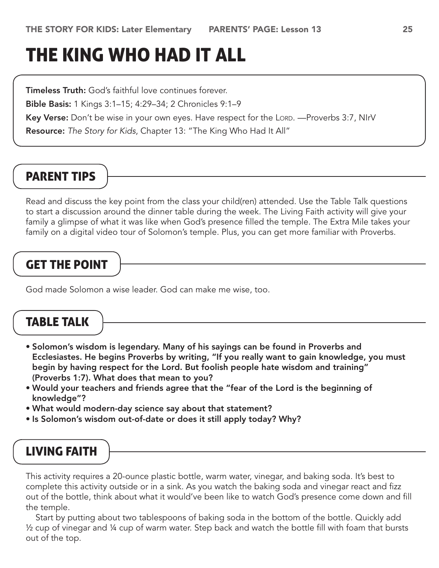# THE KING WHO HAD IT ALL

**Timeless Truth:** God's faithful love continues forever.

Bible Basis: 1 Kings 3:1–15; 4:29–34; 2 Chronicles 9:1–9

Key Verse: Don't be wise in your own eyes. Have respect for the LORD. - Proverbs 3:7, NIrV

Resource: *The Story for Kids*, Chapter 13: "The King Who Had It All"

## PARENT TIPS

Read and discuss the key point from the class your child(ren) attended. Use the Table Talk questions to start a discussion around the dinner table during the week. The Living Faith activity will give your family a glimpse of what it was like when God's presence filled the temple. The Extra Mile takes your family on a digital video tour of Solomon's temple. Plus, you can get more familiar with Proverbs.

### GET THE POINT

God made Solomon a wise leader. God can make me wise, too.

### TABLE TALK

- Solomon's wisdom is legendary. Many of his sayings can be found in Proverbs and Ecclesiastes. He begins Proverbs by writing, "If you really want to gain knowledge, you must begin by having respect for the Lord. But foolish people hate wisdom and training" (Proverbs 1:7). What does that mean to you?
- Would your teachers and friends agree that the "fear of the Lord is the beginning of knowledge"?
- What would modern-day science say about that statement?
- Is Solomon's wisdom out-of-date or does it still apply today? Why?

### LIVING FAITH

This activity requires a 20-ounce plastic bottle, warm water, vinegar, and baking soda. It's best to complete this activity outside or in a sink. As you watch the baking soda and vinegar react and fizz out of the bottle, think about what it would've been like to watch God's presence come down and fill the temple.

Start by putting about two tablespoons of baking soda in the bottom of the bottle. Quickly add ½ cup of vinegar and ¼ cup of warm water. Step back and watch the bottle fill with foam that bursts out of the top.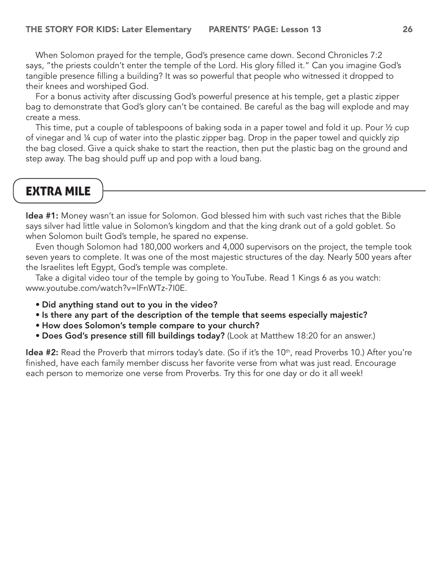When Solomon prayed for the temple, God's presence came down. Second Chronicles 7:2 says, "the priests couldn't enter the temple of the Lord. His glory filled it." Can you imagine God's tangible presence filling a building? It was so powerful that people who witnessed it dropped to their knees and worshiped God.

For a bonus activity after discussing God's powerful presence at his temple, get a plastic zipper bag to demonstrate that God's glory can't be contained. Be careful as the bag will explode and may create a mess.

This time, put a couple of tablespoons of baking soda in a paper towel and fold it up. Pour ½ cup of vinegar and ¼ cup of water into the plastic zipper bag. Drop in the paper towel and quickly zip the bag closed. Give a quick shake to start the reaction, then put the plastic bag on the ground and step away. The bag should puff up and pop with a loud bang.

## EXTRA MILE

Idea #1: Money wasn't an issue for Solomon. God blessed him with such vast riches that the Bible says silver had little value in Solomon's kingdom and that the king drank out of a gold goblet. So when Solomon built God's temple, he spared no expense.

Even though Solomon had 180,000 workers and 4,000 supervisors on the project, the temple took seven years to complete. It was one of the most majestic structures of the day. Nearly 500 years after the Israelites left Egypt, God's temple was complete.

Take a digital video tour of the temple by going to YouTube. Read 1 Kings 6 as you watch: www.youtube.com/watch?v=lFnWTz-7I0E.

- Did anything stand out to you in the video?
- Is there any part of the description of the temple that seems especially majestic?
- How does Solomon's temple compare to your church?
- Does God's presence still fill buildings today? (Look at Matthew 18:20 for an answer.)

**Idea #2:** Read the Proverb that mirrors today's date. (So if it's the 10<sup>th</sup>, read Proverbs 10.) After you're finished, have each family member discuss her favorite verse from what was just read. Encourage each person to memorize one verse from Proverbs. Try this for one day or do it all week!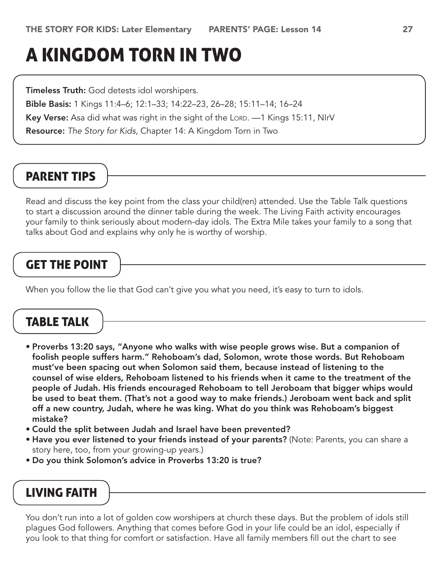# A KINGDOM TORN IN TWO

**Timeless Truth:** God detests idol worshipers. Bible Basis: 1 Kings 11:4–6; 12:1–33; 14:22–23, 26–28; 15:11–14; 16–24 Key Verse: Asa did what was right in the sight of the LORD.  $-1$  Kings 15:11, NIrV Resource: *The Story for Kids*, Chapter 14: A Kingdom Torn in Two

# PARENT TIPS

Read and discuss the key point from the class your child(ren) attended. Use the Table Talk questions to start a discussion around the dinner table during the week. The Living Faith activity encourages your family to think seriously about modern-day idols. The Extra Mile takes your family to a song that talks about God and explains why only he is worthy of worship.

### GET THE POINT

When you follow the lie that God can't give you what you need, it's easy to turn to idols.

### TABLE TALK

- Proverbs 13:20 says, "Anyone who walks with wise people grows wise. But a companion of foolish people suffers harm." Rehoboam's dad, Solomon, wrote those words. But Rehoboam must've been spacing out when Solomon said them, because instead of listening to the counsel of wise elders, Rehoboam listened to his friends when it came to the treatment of the people of Judah. His friends encouraged Rehoboam to tell Jeroboam that bigger whips would be used to beat them. (That's not a good way to make friends.) Jeroboam went back and split off a new country, Judah, where he was king. What do you think was Rehoboam's biggest mistake?
- Could the split between Judah and Israel have been prevented?
- Have you ever listened to your friends instead of your parents? (Note: Parents, you can share a story here, too, from your growing-up years.)
- Do you think Solomon's advice in Proverbs 13:20 is true?

### LIVING FAITH

You don't run into a lot of golden cow worshipers at church these days. But the problem of idols still plagues God followers. Anything that comes before God in your life could be an idol, especially if you look to that thing for comfort or satisfaction. Have all family members fill out the chart to see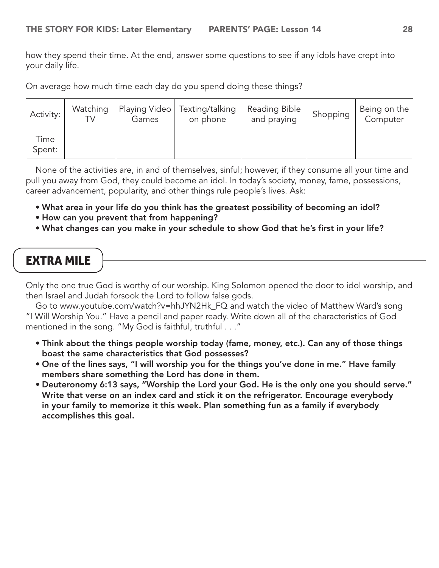how they spend their time. At the end, answer some questions to see if any idols have crept into your daily life.

On average how much time each day do you spend doing these things?

| Activity:      | Watching | Games | Playing Video   Texting/talking<br>on phone | <b>Reading Bible</b><br>and praying | Shopping | Being on the<br>Computer |
|----------------|----------|-------|---------------------------------------------|-------------------------------------|----------|--------------------------|
| Time<br>Spent: |          |       |                                             |                                     |          |                          |

None of the activities are, in and of themselves, sinful; however, if they consume all your time and pull you away from God, they could become an idol. In today's society, money, fame, possessions, career advancement, popularity, and other things rule people's lives. Ask:

- What area in your life do you think has the greatest possibility of becoming an idol?
- How can you prevent that from happening?
- What changes can you make in your schedule to show God that he's first in your life?

# EXTRA MILE

Only the one true God is worthy of our worship. King Solomon opened the door to idol worship, and then Israel and Judah forsook the Lord to follow false gods.

Go to www.youtube.com/watch?v=hhJYN2Hk\_FQ and watch the video of Matthew Ward's song "I Will Worship You." Have a pencil and paper ready. Write down all of the characteristics of God mentioned in the song. "My God is faithful, truthful . . ."

- Think about the things people worship today (fame, money, etc.). Can any of those things boast the same characteristics that God possesses?
- One of the lines says, "I will worship you for the things you've done in me." Have family members share something the Lord has done in them.
- Deuteronomy 6:13 says, "Worship the Lord your God. He is the only one you should serve." Write that verse on an index card and stick it on the refrigerator. Encourage everybody in your family to memorize it this week. Plan something fun as a family if everybody accomplishes this goal.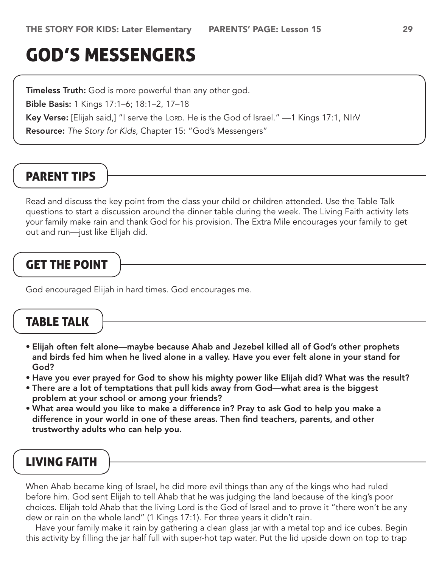# GOD'S MESSENGERS

**Timeless Truth:** God is more powerful than any other god.

Bible Basis: 1 Kings 17:1–6; 18:1–2, 17–18

Key Verse: [Elijah said,] "I serve the LORD. He is the God of Israel." —1 Kings 17:1, NIrV

Resource: *The Story for Kids*, Chapter 15: "God's Messengers"

## PARENT TIPS

Read and discuss the key point from the class your child or children attended. Use the Table Talk questions to start a discussion around the dinner table during the week. The Living Faith activity lets your family make rain and thank God for his provision. The Extra Mile encourages your family to get out and run—just like Elijah did.

### GET THE POINT

God encouraged Elijah in hard times. God encourages me.

### TABLE TALK

- Elijah often felt alone—maybe because Ahab and Jezebel killed all of God's other prophets and birds fed him when he lived alone in a valley. Have you ever felt alone in your stand for God?
- Have you ever prayed for God to show his mighty power like Elijah did? What was the result?
- There are a lot of temptations that pull kids away from God—what area is the biggest problem at your school or among your friends?
- What area would you like to make a difference in? Pray to ask God to help you make a difference in your world in one of these areas. Then find teachers, parents, and other trustworthy adults who can help you.

### LIVING FAITH

When Ahab became king of Israel, he did more evil things than any of the kings who had ruled before him. God sent Elijah to tell Ahab that he was judging the land because of the king's poor choices. Elijah told Ahab that the living Lord is the God of Israel and to prove it "there won't be any dew or rain on the whole land" (1 Kings 17:1). For three years it didn't rain.

Have your family make it rain by gathering a clean glass jar with a metal top and ice cubes. Begin this activity by filling the jar half full with super-hot tap water. Put the lid upside down on top to trap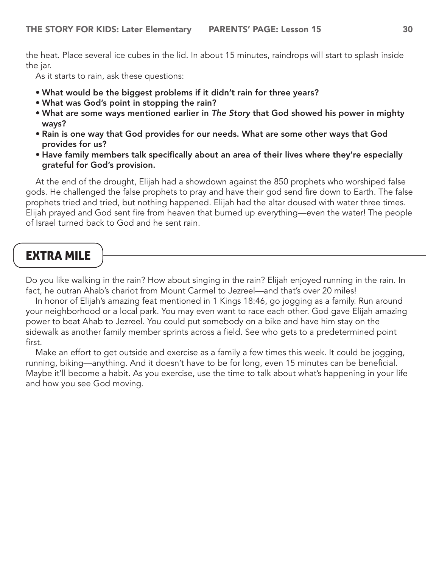the heat. Place several ice cubes in the lid. In about 15 minutes, raindrops will start to splash inside the jar.

As it starts to rain, ask these questions:

- What would be the biggest problems if it didn't rain for three years?
- What was God's point in stopping the rain?
- What are some ways mentioned earlier in *The Story* that God showed his power in mighty ways?
- Rain is one way that God provides for our needs. What are some other ways that God provides for us?
- Have family members talk specifically about an area of their lives where they're especially grateful for God's provision.

At the end of the drought, Elijah had a showdown against the 850 prophets who worshiped false gods. He challenged the false prophets to pray and have their god send fire down to Earth. The false prophets tried and tried, but nothing happened. Elijah had the altar doused with water three times. Elijah prayed and God sent fire from heaven that burned up everything—even the water! The people of Israel turned back to God and he sent rain.

### EXTRA MILE

Do you like walking in the rain? How about singing in the rain? Elijah enjoyed running in the rain. In fact, he outran Ahab's chariot from Mount Carmel to Jezreel—and that's over 20 miles!

In honor of Elijah's amazing feat mentioned in 1 Kings 18:46, go jogging as a family. Run around your neighborhood or a local park. You may even want to race each other. God gave Elijah amazing power to beat Ahab to Jezreel. You could put somebody on a bike and have him stay on the sidewalk as another family member sprints across a field. See who gets to a predetermined point first.

Make an effort to get outside and exercise as a family a few times this week. It could be jogging, running, biking—anything. And it doesn't have to be for long, even 15 minutes can be beneficial. Maybe it'll become a habit. As you exercise, use the time to talk about what's happening in your life and how you see God moving.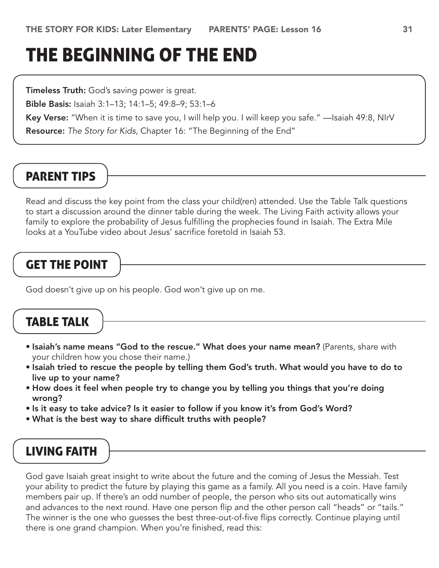# THE BEGINNING OF THE END

**Timeless Truth:** God's saving power is great.

Bible Basis: Isaiah 3:1–13; 14:1–5; 49:8–9; 53:1–6

Key Verse: "When it is time to save you, I will help you. I will keep you safe." —Isaiah 49:8, NIrV

Resource: *The Story for Kids*, Chapter 16: "The Beginning of the End"

## PARENT TIPS

Read and discuss the key point from the class your child(ren) attended. Use the Table Talk questions to start a discussion around the dinner table during the week. The Living Faith activity allows your family to explore the probability of Jesus fulfilling the prophecies found in Isaiah. The Extra Mile looks at a YouTube video about Jesus' sacrifice foretold in Isaiah 53.

### GET THE POINT

God doesn't give up on his people. God won't give up on me.

### TABLE TALK

- Isaiah's name means "God to the rescue." What does your name mean? (Parents, share with your children how you chose their name.)
- Isaiah tried to rescue the people by telling them God's truth. What would you have to do to live up to your name?
- How does it feel when people try to change you by telling you things that you're doing wrong?
- Is it easy to take advice? Is it easier to follow if you know it's from God's Word?
- What is the best way to share difficult truths with people?

### LIVING FAITH

God gave Isaiah great insight to write about the future and the coming of Jesus the Messiah. Test your ability to predict the future by playing this game as a family. All you need is a coin. Have family members pair up. If there's an odd number of people, the person who sits out automatically wins and advances to the next round. Have one person flip and the other person call "heads" or "tails." The winner is the one who guesses the best three-out-of-five flips correctly. Continue playing until there is one grand champion. When you're finished, read this: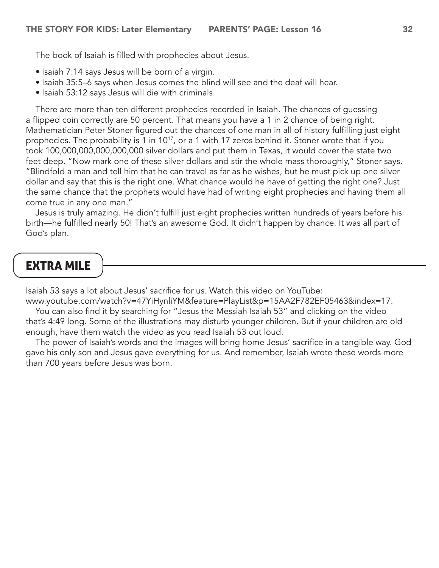The book of Isaiah is filled with prophecies about Jesus.

- Isaiah 7:14 says Jesus will be born of a virgin.
- Isaiah 35:5–6 says when Jesus comes the blind will see and the deaf will hear.
- Isaiah 53:12 says Jesus will die with criminals.

There are more than ten different prophecies recorded in Isaiah. The chances of guessing a flipped coin correctly are 50 percent. That means you have a 1 in 2 chance of being right. Mathematician Peter Stoner figured out the chances of one man in all of history fulfilling just eight prophecies. The probability is 1 in 10<sup>17</sup>, or a 1 with 17 zeros behind it. Stoner wrote that if you took 100,000,000,000,000,000 silver dollars and put them in Texas, it would cover the state two feet deep. "Now mark one of these silver dollars and stir the whole mass thoroughly," Stoner says. "Blindfold a man and tell him that he can travel as far as he wishes, but he must pick up one silver dollar and say that this is the right one. What chance would he have of getting the right one? Just the same chance that the prophets would have had of writing eight prophecies and having them all come true in any one man."

Jesus is truly amazing. He didn't fulfill just eight prophecies written hundreds of years before his birth—he fulfilled nearly 50! That's an awesome God. It didn't happen by chance. It was all part of God's plan.

#### EXTRA MILE

Isaiah 53 says a lot about Jesus' sacrifice for us. Watch this video on YouTube:

www.youtube.com/watch?v=47YiHynliYM&feature=PlayList&p=15AA2F782EF05463&index=17. You can also find it by searching for "Jesus the Messiah Isaiah 53" and clicking on the video that's 4:49 long. Some of the illustrations may disturb younger children. But if your children are old enough, have them watch the video as you read Isaiah 53 out loud.

The power of Isaiah's words and the images will bring home Jesus' sacrifice in a tangible way. God gave his only son and Jesus gave everything for us. And remember, Isaiah wrote these words more than 700 years before Jesus was born.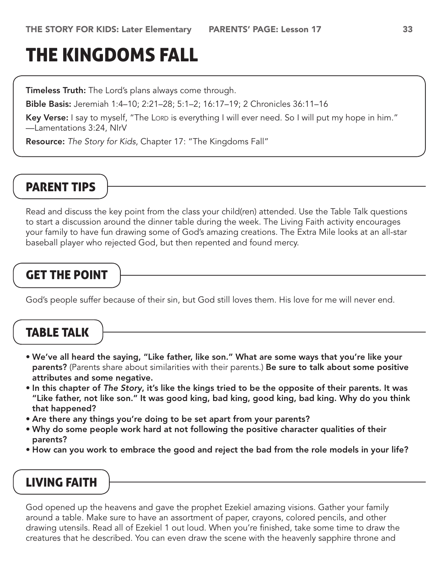# THE KINGDOMS FALL

**Timeless Truth:** The Lord's plans always come through.

Bible Basis: Jeremiah 1:4–10; 2:21–28; 5:1–2; 16:17–19; 2 Chronicles 36:11–16

Key Verse: I say to myself, "The Lord is everything I will ever need. So I will put my hope in him." —Lamentations 3:24, NIrV

Resource: *The Story for Kids*, Chapter 17: "The Kingdoms Fall"

#### PARENT TIPS

Read and discuss the key point from the class your child(ren) attended. Use the Table Talk questions to start a discussion around the dinner table during the week. The Living Faith activity encourages your family to have fun drawing some of God's amazing creations. The Extra Mile looks at an all-star baseball player who rejected God, but then repented and found mercy.

### GET THE POINT

God's people suffer because of their sin, but God still loves them. His love for me will never end.

### TABLE TALK

- We've all heard the saying, "Like father, like son." What are some ways that you're like your parents? (Parents share about similarities with their parents.) Be sure to talk about some positive attributes and some negative.
- In this chapter of *The Story*, it's like the kings tried to be the opposite of their parents. It was "Like father, not like son." It was good king, bad king, good king, bad king. Why do you think that happened?
- Are there any things you're doing to be set apart from your parents?
- Why do some people work hard at not following the positive character qualities of their parents?
- How can you work to embrace the good and reject the bad from the role models in your life?

#### LIVING FAITH

God opened up the heavens and gave the prophet Ezekiel amazing visions. Gather your family around a table. Make sure to have an assortment of paper, crayons, colored pencils, and other drawing utensils. Read all of Ezekiel 1 out loud. When you're finished, take some time to draw the creatures that he described. You can even draw the scene with the heavenly sapphire throne and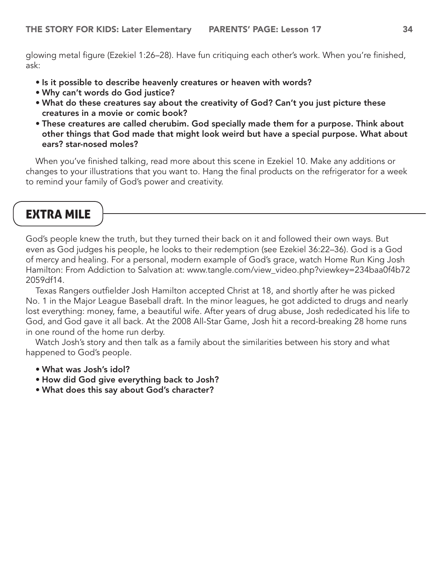glowing metal figure (Ezekiel 1:26–28). Have fun critiquing each other's work. When you're finished, ask:

- Is it possible to describe heavenly creatures or heaven with words?
- Why can't words do God justice?
- What do these creatures say about the creativity of God? Can't you just picture these creatures in a movie or comic book?
- These creatures are called cherubim. God specially made them for a purpose. Think about other things that God made that might look weird but have a special purpose. What about ears? star-nosed moles?

When you've finished talking, read more about this scene in Ezekiel 10. Make any additions or changes to your illustrations that you want to. Hang the final products on the refrigerator for a week to remind your family of God's power and creativity.

### EXTRA MILE

God's people knew the truth, but they turned their back on it and followed their own ways. But even as God judges his people, he looks to their redemption (see Ezekiel 36:22–36). God is a God of mercy and healing. For a personal, modern example of God's grace, watch Home Run King Josh Hamilton: From Addiction to Salvation at: www.tangle.com/view\_video.php?viewkey=234baa0f4b72 2059df14.

Texas Rangers outfielder Josh Hamilton accepted Christ at 18, and shortly after he was picked No. 1 in the Major League Baseball draft. In the minor leagues, he got addicted to drugs and nearly lost everything: money, fame, a beautiful wife. After years of drug abuse, Josh rededicated his life to God, and God gave it all back. At the 2008 All-Star Game, Josh hit a record-breaking 28 home runs in one round of the home run derby.

Watch Josh's story and then talk as a family about the similarities between his story and what happened to God's people.

- What was Josh's idol?
- How did God give everything back to Josh?
- What does this say about God's character?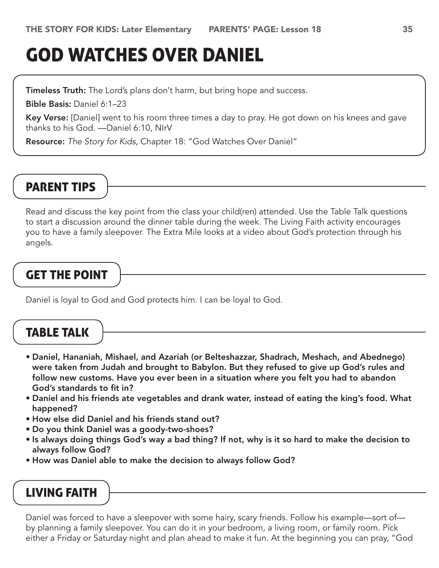# GOD WATCHES OVER DANIEL

**Timeless Truth:** The Lord's plans don't harm, but bring hope and success.

Bible Basis: Daniel 6:1–23

Key Verse: [Daniel] went to his room three times a day to pray. He got down on his knees and gave thanks to his God. —Daniel 6:10, NIrV

Resource: *The Story for Kids*, Chapter 18: "God Watches Over Daniel"

### PARENT TIPS

Read and discuss the key point from the class your child(ren) attended. Use the Table Talk questions to start a discussion around the dinner table during the week. The Living Faith activity encourages you to have a family sleepover. The Extra Mile looks at a video about God's protection through his angels.

### GET THE POINT

Daniel is loyal to God and God protects him. I can be loyal to God.

### TABLE TALK

- Daniel, Hananiah, Mishael, and Azariah (or Belteshazzar, Shadrach, Meshach, and Abednego) were taken from Judah and brought to Babylon. But they refused to give up God's rules and follow new customs. Have you ever been in a situation where you felt you had to abandon God's standards to fit in?
- Daniel and his friends ate vegetables and drank water, instead of eating the king's food. What happened?
- How else did Daniel and his friends stand out?
- Do you think Daniel was a goody-two-shoes?
- Is always doing things God's way a bad thing? If not, why is it so hard to make the decision to always follow God?
- How was Daniel able to make the decision to always follow God?

### LIVING FAITH

Daniel was forced to have a sleepover with some hairy, scary friends. Follow his example—sort of by planning a family sleepover. You can do it in your bedroom, a living room, or family room. Pick either a Friday or Saturday night and plan ahead to make it fun. At the beginning you can pray, "God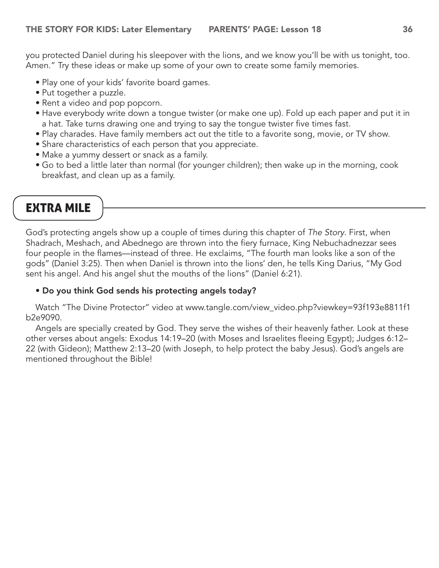you protected Daniel during his sleepover with the lions, and we know you'll be with us tonight, too. Amen." Try these ideas or make up some of your own to create some family memories.

- Play one of your kids' favorite board games.
- Put together a puzzle.
- Rent a video and pop popcorn.
- Have everybody write down a tongue twister (or make one up). Fold up each paper and put it in a hat. Take turns drawing one and trying to say the tongue twister five times fast.
- Play charades. Have family members act out the title to a favorite song, movie, or TV show.
- Share characteristics of each person that you appreciate.
- Make a yummy dessert or snack as a family.
- Go to bed a little later than normal (for younger children); then wake up in the morning, cook breakfast, and clean up as a family.

### EXTRA MILE

God's protecting angels show up a couple of times during this chapter of *The Story*. First, when Shadrach, Meshach, and Abednego are thrown into the fiery furnace, King Nebuchadnezzar sees four people in the flames—instead of three. He exclaims, "The fourth man looks like a son of the gods" (Daniel 3:25). Then when Daniel is thrown into the lions' den, he tells King Darius, "My God sent his angel. And his angel shut the mouths of the lions" (Daniel 6:21).

#### • Do you think God sends his protecting angels today?

Watch "The Divine Protector" video at www.tangle.com/view\_video.php?viewkey=93f193e8811f1 b2e9090.

Angels are specially created by God. They serve the wishes of their heavenly father. Look at these other verses about angels: Exodus 14:19–20 (with Moses and Israelites fleeing Egypt); Judges 6:12– 22 (with Gideon); Matthew 2:13–20 (with Joseph, to help protect the baby Jesus). God's angels are mentioned throughout the Bible!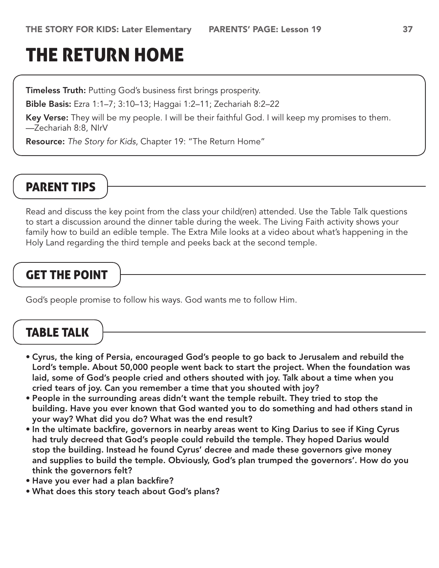# THE RETURN HOME

**Timeless Truth:** Putting God's business first brings prosperity.

Bible Basis: Ezra 1:1–7; 3:10–13; Haggai 1:2–11; Zechariah 8:2–22

Key Verse: They will be my people. I will be their faithful God. I will keep my promises to them. —Zechariah 8:8, NIrV

Resource: *The Story for Kids*, Chapter 19: "The Return Home"

## PARENT TIPS

Read and discuss the key point from the class your child(ren) attended. Use the Table Talk questions to start a discussion around the dinner table during the week. The Living Faith activity shows your family how to build an edible temple. The Extra Mile looks at a video about what's happening in the Holy Land regarding the third temple and peeks back at the second temple.

## GET THE POINT

God's people promise to follow his ways. God wants me to follow Him.

### TABLE TALK

- Cyrus, the king of Persia, encouraged God's people to go back to Jerusalem and rebuild the Lord's temple. About 50,000 people went back to start the project. When the foundation was laid, some of God's people cried and others shouted with joy. Talk about a time when you cried tears of joy. Can you remember a time that you shouted with joy?
- People in the surrounding areas didn't want the temple rebuilt. They tried to stop the building. Have you ever known that God wanted you to do something and had others stand in your way? What did you do? What was the end result?
- In the ultimate backfire, governors in nearby areas went to King Darius to see if King Cyrus had truly decreed that God's people could rebuild the temple. They hoped Darius would stop the building. Instead he found Cyrus' decree and made these governors give money and supplies to build the temple. Obviously, God's plan trumped the governors'. How do you think the governors felt?
- Have you ever had a plan backfire?
- What does this story teach about God's plans?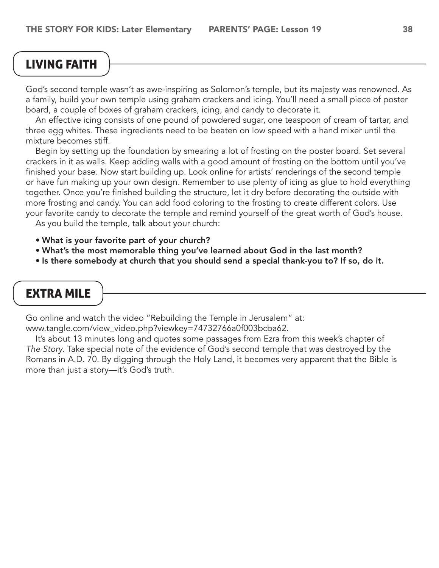## LIVING FAITH

God's second temple wasn't as awe-inspiring as Solomon's temple, but its majesty was renowned. As a family, build your own temple using graham crackers and icing. You'll need a small piece of poster board, a couple of boxes of graham crackers, icing, and candy to decorate it.

An effective icing consists of one pound of powdered sugar, one teaspoon of cream of tartar, and three egg whites. These ingredients need to be beaten on low speed with a hand mixer until the mixture becomes stiff.

Begin by setting up the foundation by smearing a lot of frosting on the poster board. Set several crackers in it as walls. Keep adding walls with a good amount of frosting on the bottom until you've finished your base. Now start building up. Look online for artists' renderings of the second temple or have fun making up your own design. Remember to use plenty of icing as glue to hold everything together. Once you're finished building the structure, let it dry before decorating the outside with more frosting and candy. You can add food coloring to the frosting to create different colors. Use your favorite candy to decorate the temple and remind yourself of the great worth of God's house.

As you build the temple, talk about your church:

- What is your favorite part of your church?
- What's the most memorable thing you've learned about God in the last month?
- Is there somebody at church that you should send a special thank-you to? If so, do it.

### EXTRA MILE

Go online and watch the video "Rebuilding the Temple in Jerusalem" at: www.tangle.com/view\_video.php?viewkey=74732766a0f003bcba62.

It's about 13 minutes long and quotes some passages from Ezra from this week's chapter of *The Story*. Take special note of the evidence of God's second temple that was destroyed by the Romans in A.D. 70. By digging through the Holy Land, it becomes very apparent that the Bible is more than just a story—it's God's truth.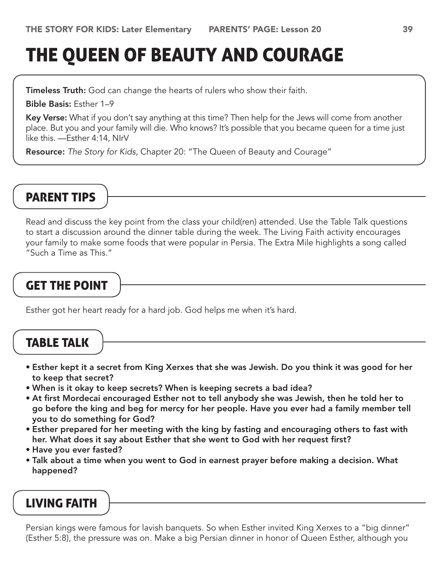# THE QUEEN OF BEAUTY AND COURAGE

**Timeless Truth:** God can change the hearts of rulers who show their faith.

Bible Basis: Esther 1–9

Key Verse: What if you don't say anything at this time? Then help for the Jews will come from another place. But you and your family will die. Who knows? It's possible that you became queen for a time just like this. —Esther 4:14, NIrV

Resource: *The Story for Kids*, Chapter 20: "The Queen of Beauty and Courage"

# PARENT TIPS

Read and discuss the key point from the class your child(ren) attended. Use the Table Talk questions to start a discussion around the dinner table during the week. The Living Faith activity encourages your family to make some foods that were popular in Persia. The Extra Mile highlights a song called "Such a Time as This."

## GET THE POINT

Esther got her heart ready for a hard job. God helps me when it's hard.

### TABLE TALK

- Esther kept it a secret from King Xerxes that she was Jewish. Do you think it was good for her to keep that secret?
- When is it okay to keep secrets? When is keeping secrets a bad idea?
- At first Mordecai encouraged Esther not to tell anybody she was Jewish, then he told her to go before the king and beg for mercy for her people. Have you ever had a family member tell you to do something for God?
- Esther prepared for her meeting with the king by fasting and encouraging others to fast with her. What does it say about Esther that she went to God with her request first?
- Have you ever fasted?
- Talk about a time when you went to God in earnest prayer before making a decision. What happened?

### LIVING FAITH

Persian kings were famous for lavish banquets. So when Esther invited King Xerxes to a "big dinner" (Esther 5:8), the pressure was on. Make a big Persian dinner in honor of Queen Esther, although you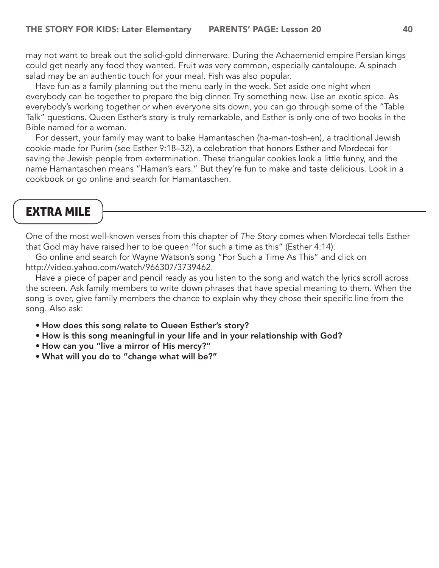may not want to break out the solid-gold dinnerware. During the Achaemenid empire Persian kings could get nearly any food they wanted. Fruit was very common, especially cantaloupe. A spinach salad may be an authentic touch for your meal. Fish was also popular.

Have fun as a family planning out the menu early in the week. Set aside one night when everybody can be together to prepare the big dinner. Try something new. Use an exotic spice. As everybody's working together or when everyone sits down, you can go through some of the "Table Talk" questions. Queen Esther's story is truly remarkable, and Esther is only one of two books in the Bible named for a woman.

For dessert, your family may want to bake Hamantaschen (ha-man-tosh-en), a traditional Jewish cookie made for Purim (see Esther 9:18–32), a celebration that honors Esther and Mordecai for saving the Jewish people from extermination. These triangular cookies look a little funny, and the name Hamantaschen means "Haman's ears." But they're fun to make and taste delicious. Look in a cookbook or go online and search for Hamantaschen.

### EXTRA MILE

One of the most well-known verses from this chapter of *The Story* comes when Mordecai tells Esther that God may have raised her to be queen "for such a time as this" (Esther 4:14).

Go online and search for Wayne Watson's song "For Such a Time As This" and click on http://video.yahoo.com/watch/966307/3739462.

Have a piece of paper and pencil ready as you listen to the song and watch the lyrics scroll across the screen. Ask family members to write down phrases that have special meaning to them. When the song is over, give family members the chance to explain why they chose their specific line from the song. Also ask:

- How does this song relate to Queen Esther's story?
- How is this song meaningful in your life and in your relationship with God?
- How can you "live a mirror of His mercy?"
- What will you do to "change what will be?"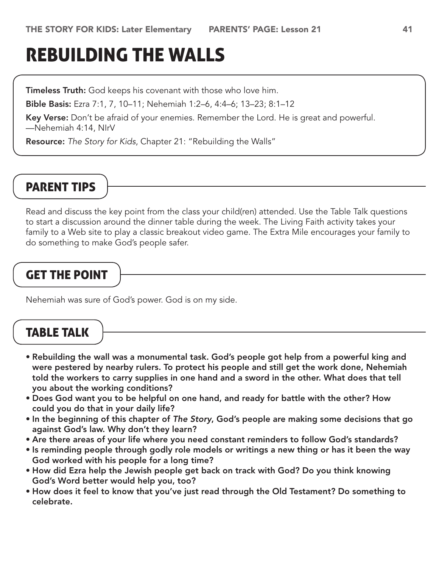# REBUILDING THE WALLS

**Timeless Truth:** God keeps his covenant with those who love him.

Bible Basis: Ezra 7:1, 7, 10–11; Nehemiah 1:2–6, 4:4–6; 13–23; 8:1–12

Key Verse: Don't be afraid of your enemies. Remember the Lord. He is great and powerful. —Nehemiah 4:14, NIrV

Resource: *The Story for Kids*, Chapter 21: "Rebuilding the Walls"

### PARENT TIPS

Read and discuss the key point from the class your child(ren) attended. Use the Table Talk questions to start a discussion around the dinner table during the week. The Living Faith activity takes your family to a Web site to play a classic breakout video game. The Extra Mile encourages your family to do something to make God's people safer.

### GET THE POINT

Nehemiah was sure of God's power. God is on my side.

### TABLE TALK

- Rebuilding the wall was a monumental task. God's people got help from a powerful king and were pestered by nearby rulers. To protect his people and still get the work done, Nehemiah told the workers to carry supplies in one hand and a sword in the other. What does that tell you about the working conditions?
- Does God want you to be helpful on one hand, and ready for battle with the other? How could you do that in your daily life?
- In the beginning of this chapter of *The Story*, God's people are making some decisions that go against God's law. Why don't they learn?
- Are there areas of your life where you need constant reminders to follow God's standards?
- Is reminding people through godly role models or writings a new thing or has it been the way God worked with his people for a long time?
- How did Ezra help the Jewish people get back on track with God? Do you think knowing God's Word better would help you, too?
- How does it feel to know that you've just read through the Old Testament? Do something to celebrate.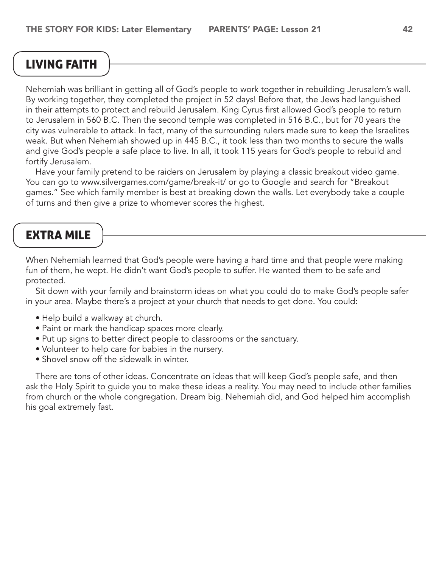## LIVING FAITH

Nehemiah was brilliant in getting all of God's people to work together in rebuilding Jerusalem's wall. By working together, they completed the project in 52 days! Before that, the Jews had languished in their attempts to protect and rebuild Jerusalem. King Cyrus first allowed God's people to return to Jerusalem in 560 B.C. Then the second temple was completed in 516 B.C., but for 70 years the city was vulnerable to attack. In fact, many of the surrounding rulers made sure to keep the Israelites weak. But when Nehemiah showed up in 445 B.C., it took less than two months to secure the walls and give God's people a safe place to live. In all, it took 115 years for God's people to rebuild and fortify Jerusalem.

Have your family pretend to be raiders on Jerusalem by playing a classic breakout video game. You can go to www.silvergames.com/game/break-it/ or go to Google and search for "Breakout games." See which family member is best at breaking down the walls. Let everybody take a couple of turns and then give a prize to whomever scores the highest.

### EXTRA MILE

When Nehemiah learned that God's people were having a hard time and that people were making fun of them, he wept. He didn't want God's people to suffer. He wanted them to be safe and protected.

Sit down with your family and brainstorm ideas on what you could do to make God's people safer in your area. Maybe there's a project at your church that needs to get done. You could:

- Help build a walkway at church.
- Paint or mark the handicap spaces more clearly.
- Put up signs to better direct people to classrooms or the sanctuary.
- Volunteer to help care for babies in the nursery.
- Shovel snow off the sidewalk in winter.

There are tons of other ideas. Concentrate on ideas that will keep God's people safe, and then ask the Holy Spirit to guide you to make these ideas a reality. You may need to include other families from church or the whole congregation. Dream big. Nehemiah did, and God helped him accomplish his goal extremely fast.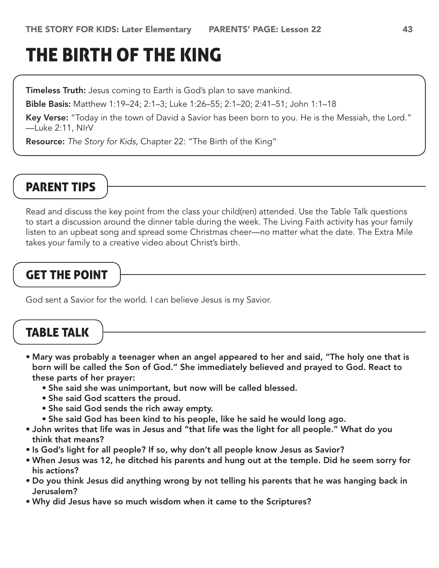# THE BIRTH OF THE KING

**Timeless Truth:** Jesus coming to Earth is God's plan to save mankind.

Bible Basis: Matthew 1:19–24; 2:1–3; Luke 1:26–55; 2:1–20; 2:41–51; John 1:1–18

Key Verse: "Today in the town of David a Savior has been born to you. He is the Messiah, the Lord." —Luke 2:11, NIrV

Resource: *The Story for Kids*, Chapter 22: "The Birth of the King"

### PARENT TIPS

Read and discuss the key point from the class your child(ren) attended. Use the Table Talk questions to start a discussion around the dinner table during the week. The Living Faith activity has your family listen to an upbeat song and spread some Christmas cheer—no matter what the date. The Extra Mile takes your family to a creative video about Christ's birth.

### GET THE POINT

God sent a Savior for the world. I can believe Jesus is my Savior.

### TABLE TALK

- Mary was probably a teenager when an angel appeared to her and said, "The holy one that is born will be called the Son of God." She immediately believed and prayed to God. React to these parts of her prayer:
	- She said she was unimportant, but now will be called blessed.
	- She said God scatters the proud.
	- She said God sends the rich away empty.
	- She said God has been kind to his people, like he said he would long ago.
- John writes that life was in Jesus and "that life was the light for all people." What do you think that means?
- Is God's light for all people? If so, why don't all people know Jesus as Savior?
- When Jesus was 12, he ditched his parents and hung out at the temple. Did he seem sorry for his actions?
- Do you think Jesus did anything wrong by not telling his parents that he was hanging back in Jerusalem?
- Why did Jesus have so much wisdom when it came to the Scriptures?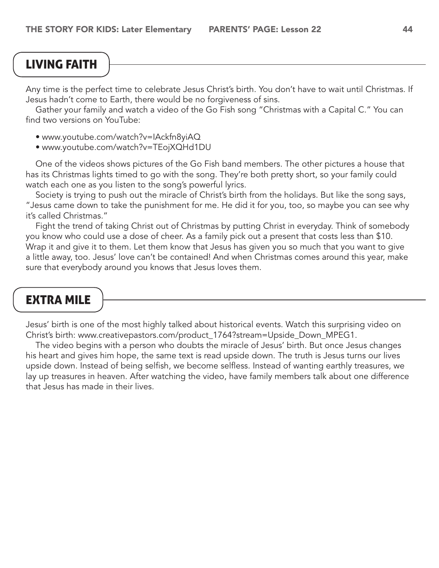## LIVING FAITH

Any time is the perfect time to celebrate Jesus Christ's birth. You don't have to wait until Christmas. If Jesus hadn't come to Earth, there would be no forgiveness of sins.

Gather your family and watch a video of the Go Fish song "Christmas with a Capital C." You can find two versions on YouTube:

- www.youtube.com/watch?v=IAckfn8yiAQ
- www.youtube.com/watch?v=TEojXQHd1DU

One of the videos shows pictures of the Go Fish band members. The other pictures a house that has its Christmas lights timed to go with the song. They're both pretty short, so your family could watch each one as you listen to the song's powerful lyrics.

Society is trying to push out the miracle of Christ's birth from the holidays. But like the song says, "Jesus came down to take the punishment for me. He did it for you, too, so maybe you can see why it's called Christmas."

Fight the trend of taking Christ out of Christmas by putting Christ in everyday. Think of somebody you know who could use a dose of cheer. As a family pick out a present that costs less than \$10. Wrap it and give it to them. Let them know that Jesus has given you so much that you want to give a little away, too. Jesus' love can't be contained! And when Christmas comes around this year, make sure that everybody around you knows that Jesus loves them.

### EXTRA MILE

Jesus' birth is one of the most highly talked about historical events. Watch this surprising video on Christ's birth: www.creativepastors.com/product\_1764?stream=Upside\_Down\_MPEG1.

The video begins with a person who doubts the miracle of Jesus' birth. But once Jesus changes his heart and gives him hope, the same text is read upside down. The truth is Jesus turns our lives upside down. Instead of being selfish, we become selfless. Instead of wanting earthly treasures, we lay up treasures in heaven. After watching the video, have family members talk about one difference that Jesus has made in their lives.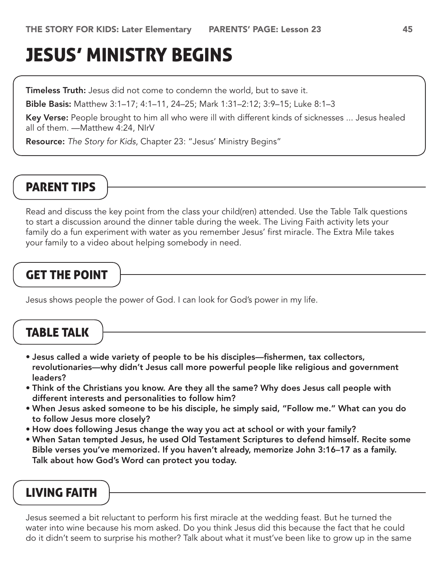# JESUS' MINISTRY BEGINS

**Timeless Truth:** Jesus did not come to condemn the world, but to save it.

Bible Basis: Matthew 3:1–17; 4:1–11, 24–25; Mark 1:31–2:12; 3:9–15; Luke 8:1–3

Key Verse: People brought to him all who were ill with different kinds of sicknesses ... Jesus healed all of them. —Matthew 4:24, NIrV

Resource: *The Story for Kids*, Chapter 23: "Jesus' Ministry Begins"

### PARENT TIPS

Read and discuss the key point from the class your child(ren) attended. Use the Table Talk questions to start a discussion around the dinner table during the week. The Living Faith activity lets your family do a fun experiment with water as you remember Jesus' first miracle. The Extra Mile takes your family to a video about helping somebody in need.

### GET THE POINT

Jesus shows people the power of God. I can look for God's power in my life.

### TABLE TALK

- Jesus called a wide variety of people to be his disciples—fishermen, tax collectors, revolutionaries—why didn't Jesus call more powerful people like religious and government leaders?
- Think of the Christians you know. Are they all the same? Why does Jesus call people with different interests and personalities to follow him?
- When Jesus asked someone to be his disciple, he simply said, "Follow me." What can you do to follow Jesus more closely?
- How does following Jesus change the way you act at school or with your family?
- When Satan tempted Jesus, he used Old Testament Scriptures to defend himself. Recite some Bible verses you've memorized. If you haven't already, memorize John 3:16–17 as a family. Talk about how God's Word can protect you today.

### LIVING FAITH

Jesus seemed a bit reluctant to perform his first miracle at the wedding feast. But he turned the water into wine because his mom asked. Do you think Jesus did this because the fact that he could do it didn't seem to surprise his mother? Talk about what it must've been like to grow up in the same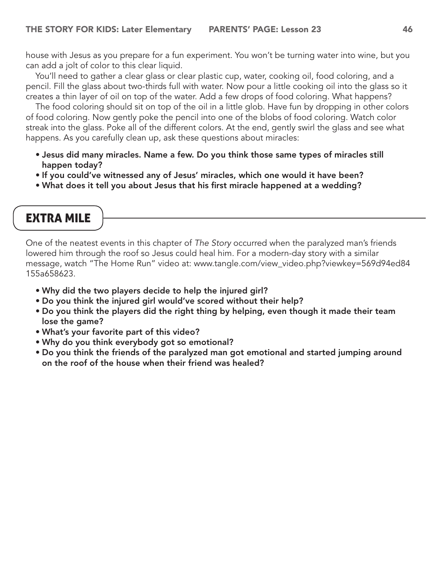house with Jesus as you prepare for a fun experiment. You won't be turning water into wine, but you can add a jolt of color to this clear liquid.

You'll need to gather a clear glass or clear plastic cup, water, cooking oil, food coloring, and a pencil. Fill the glass about two-thirds full with water. Now pour a little cooking oil into the glass so it creates a thin layer of oil on top of the water. Add a few drops of food coloring. What happens?

The food coloring should sit on top of the oil in a little glob. Have fun by dropping in other colors of food coloring. Now gently poke the pencil into one of the blobs of food coloring. Watch color streak into the glass. Poke all of the different colors. At the end, gently swirl the glass and see what happens. As you carefully clean up, ask these questions about miracles:

- Jesus did many miracles. Name a few. Do you think those same types of miracles still happen today?
- If you could've witnessed any of Jesus' miracles, which one would it have been?
- What does it tell you about Jesus that his first miracle happened at a wedding?

### EXTRA MILE

One of the neatest events in this chapter of *The Story* occurred when the paralyzed man's friends lowered him through the roof so Jesus could heal him. For a modern-day story with a similar message, watch "The Home Run" video at: www.tangle.com/view\_video.php?viewkey=569d94ed84 155a658623.

- Why did the two players decide to help the injured girl?
- Do you think the injured girl would've scored without their help?
- Do you think the players did the right thing by helping, even though it made their team lose the game?
- What's your favorite part of this video?
- Why do you think everybody got so emotional?
- Do you think the friends of the paralyzed man got emotional and started jumping around on the roof of the house when their friend was healed?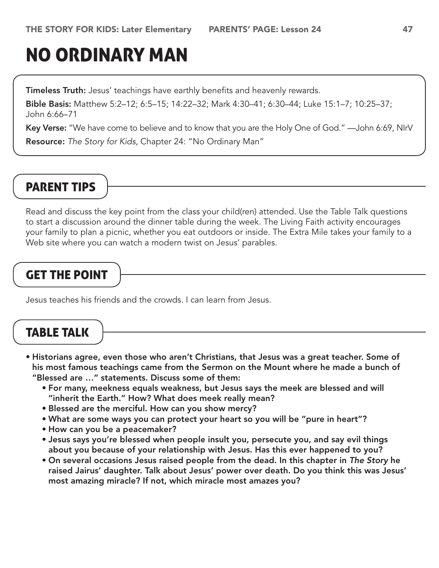# NO ORDINARY MAN

**Timeless Truth:** Jesus' teachings have earthly benefits and heavenly rewards.

Bible Basis: Matthew 5:2–12; 6:5–15; 14:22–32; Mark 4:30–41; 6:30–44; Luke 15:1–7; 10:25–37; John 6:66–71

Key Verse: "We have come to believe and to know that you are the Holy One of God." — John 6:69, NIrV Resource: *The Story for Kids*, Chapter 24: "No Ordinary Man"

### PARENT TIPS

Read and discuss the key point from the class your child(ren) attended. Use the Table Talk questions to start a discussion around the dinner table during the week. The Living Faith activity encourages your family to plan a picnic, whether you eat outdoors or inside. The Extra Mile takes your family to a Web site where you can watch a modern twist on Jesus' parables.

### GET THE POINT

Jesus teaches his friends and the crowds. I can learn from Jesus.

### TABLE TALK

- Historians agree, even those who aren't Christians, that Jesus was a great teacher. Some of his most famous teachings came from the Sermon on the Mount where he made a bunch of "Blessed are …" statements. Discuss some of them:
	- For many, meekness equals weakness, but Jesus says the meek are blessed and will "inherit the Earth." How? What does meek really mean?
	- Blessed are the merciful. How can you show mercy?
	- What are some ways you can protect your heart so you will be "pure in heart"?
	- How can you be a peacemaker?
	- Jesus says you're blessed when people insult you, persecute you, and say evil things about you because of your relationship with Jesus. Has this ever happened to you?
	- On several occasions Jesus raised people from the dead. In this chapter in *The Story* he raised Jairus' daughter. Talk about Jesus' power over death. Do you think this was Jesus' most amazing miracle? If not, which miracle most amazes you?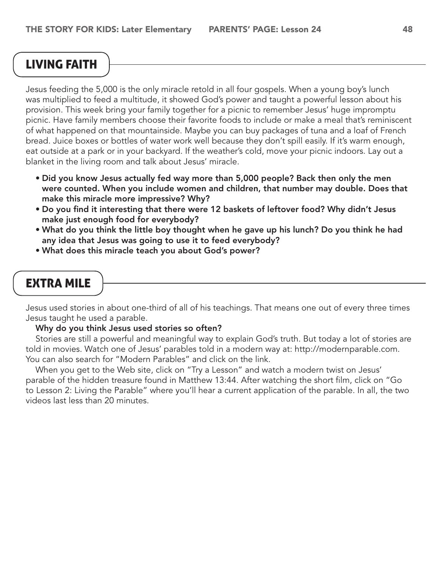### LIVING FAITH

Jesus feeding the 5,000 is the only miracle retold in all four gospels. When a young boy's lunch was multiplied to feed a multitude, it showed God's power and taught a powerful lesson about his provision. This week bring your family together for a picnic to remember Jesus' huge impromptu picnic. Have family members choose their favorite foods to include or make a meal that's reminiscent of what happened on that mountainside. Maybe you can buy packages of tuna and a loaf of French bread. Juice boxes or bottles of water work well because they don't spill easily. If it's warm enough, eat outside at a park or in your backyard. If the weather's cold, move your picnic indoors. Lay out a blanket in the living room and talk about Jesus' miracle.

- Did you know Jesus actually fed way more than 5,000 people? Back then only the men were counted. When you include women and children, that number may double. Does that make this miracle more impressive? Why?
- Do you find it interesting that there were 12 baskets of leftover food? Why didn't Jesus make just enough food for everybody?
- What do you think the little boy thought when he gave up his lunch? Do you think he had any idea that Jesus was going to use it to feed everybody?
- What does this miracle teach you about God's power?

### EXTRA MILE

Jesus used stories in about one-third of all of his teachings. That means one out of every three times Jesus taught he used a parable.

#### Why do you think Jesus used stories so often?

Stories are still a powerful and meaningful way to explain God's truth. But today a lot of stories are told in movies. Watch one of Jesus' parables told in a modern way at: http://modernparable.com. You can also search for "Modern Parables" and click on the link.

When you get to the Web site, click on "Try a Lesson" and watch a modern twist on Jesus' parable of the hidden treasure found in Matthew 13:44. After watching the short film, click on "Go to Lesson 2: Living the Parable" where you'll hear a current application of the parable. In all, the two videos last less than 20 minutes.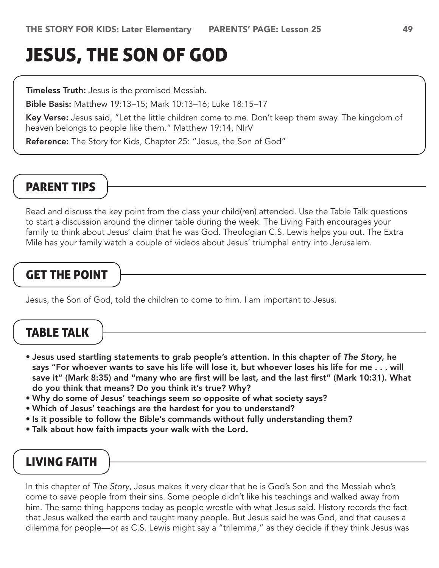# JESUS, THE SON OF GOD

**Timeless Truth:** Jesus is the promised Messiah.

Bible Basis: Matthew 19:13*–*15; Mark 10:13*–*16; Luke 18:15*–*17

Key Verse: Jesus said, "Let the little children come to me. Don't keep them away. The kingdom of heaven belongs to people like them." Matthew 19:14, NIrV

Reference: The Story for Kids, Chapter 25: "Jesus, the Son of God"

### PARENT TIPS

Read and discuss the key point from the class your child(ren) attended. Use the Table Talk questions to start a discussion around the dinner table during the week. The Living Faith encourages your family to think about Jesus' claim that he was God. Theologian C.S. Lewis helps you out. The Extra Mile has your family watch a couple of videos about Jesus' triumphal entry into Jerusalem.

### GET THE POINT

Jesus, the Son of God, told the children to come to him. I am important to Jesus.

### TABLE TALK

- Jesus used startling statements to grab people's attention. In this chapter of *The Story*, he says "For whoever wants to save his life will lose it, but whoever loses his life for me . . . will save it" (Mark 8:35) and "many who are first will be last, and the last first" (Mark 10:31). What do you think that means? Do you think it's true? Why?
- Why do some of Jesus' teachings seem so opposite of what society says?
- Which of Jesus' teachings are the hardest for you to understand?
- Is it possible to follow the Bible's commands without fully understanding them?
- Talk about how faith impacts your walk with the Lord.

### LIVING FAITH

In this chapter of *The Story*, Jesus makes it very clear that he is God's Son and the Messiah who's come to save people from their sins. Some people didn't like his teachings and walked away from him. The same thing happens today as people wrestle with what Jesus said. History records the fact that Jesus walked the earth and taught many people. But Jesus said he was God, and that causes a dilemma for people—or as C.S. Lewis might say a "trilemma," as they decide if they think Jesus was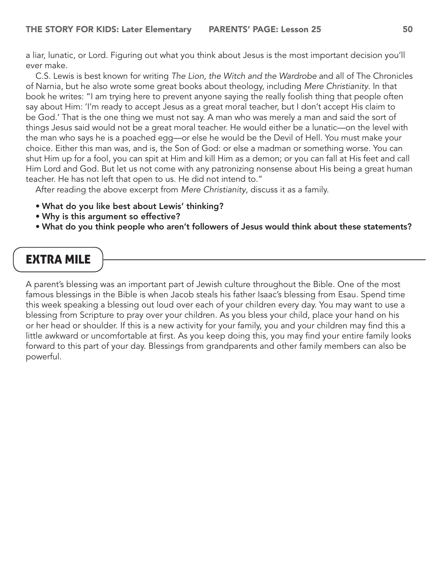a liar, lunatic, or Lord. Figuring out what you think about Jesus is the most important decision you'll ever make.

C.S. Lewis is best known for writing *The Lion, the Witch and the Wardrobe* and all of The Chronicles of Narnia, but he also wrote some great books about theology, including *Mere Christianity*. In that book he writes: "I am trying here to prevent anyone saying the really foolish thing that people often say about Him: 'I'm ready to accept Jesus as a great moral teacher, but I don't accept His claim to be God.' That is the one thing we must not say. A man who was merely a man and said the sort of things Jesus said would not be a great moral teacher. He would either be a lunatic—on the level with the man who says he is a poached egg—or else he would be the Devil of Hell. You must make your choice. Either this man was, and is, the Son of God: or else a madman or something worse. You can shut Him up for a fool, you can spit at Him and kill Him as a demon; or you can fall at His feet and call Him Lord and God. But let us not come with any patronizing nonsense about His being a great human teacher. He has not left that open to us. He did not intend to."

After reading the above excerpt from *Mere Christianity*, discuss it as a family.

- What do you like best about Lewis' thinking?
- Why is this argument so effective?
- What do you think people who aren't followers of Jesus would think about these statements?

### EXTRA MILE

A parent's blessing was an important part of Jewish culture throughout the Bible. One of the most famous blessings in the Bible is when Jacob steals his father Isaac's blessing from Esau. Spend time this week speaking a blessing out loud over each of your children every day. You may want to use a blessing from Scripture to pray over your children. As you bless your child, place your hand on his or her head or shoulder. If this is a new activity for your family, you and your children may find this a little awkward or uncomfortable at first. As you keep doing this, you may find your entire family looks forward to this part of your day. Blessings from grandparents and other family members can also be powerful.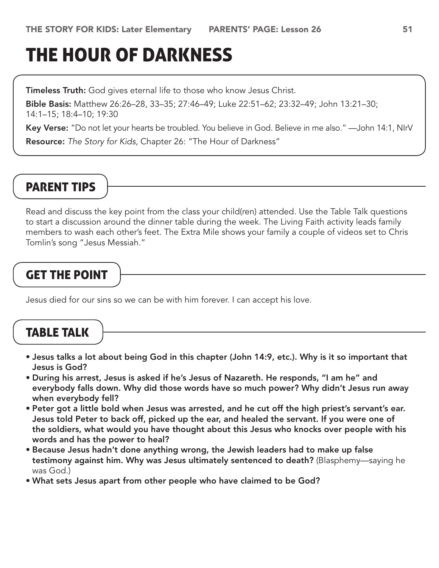# THE HOUR OF DARKNESS

**Timeless Truth:** God gives eternal life to those who know Jesus Christ.

Bible Basis: Matthew 26:26–28, 33–35; 27:46–49; Luke 22:51–62; 23:32–49; John 13:21–30; 14:1–15; 18:4–10; 19:30

Key Verse: "Do not let your hearts be troubled. You believe in God. Believe in me also." - John 14:1, NIrV Resource: *The Story for Kids*, Chapter 26: "The Hour of Darkness"

### PARENT TIPS

Read and discuss the key point from the class your child(ren) attended. Use the Table Talk questions to start a discussion around the dinner table during the week. The Living Faith activity leads family members to wash each other's feet. The Extra Mile shows your family a couple of videos set to Chris Tomlin's song "Jesus Messiah."

### GET THE POINT

Jesus died for our sins so we can be with him forever. I can accept his love.

### TABLE TALK

- Jesus talks a lot about being God in this chapter (John 14:9, etc.). Why is it so important that Jesus is God?
- During his arrest, Jesus is asked if he's Jesus of Nazareth. He responds, "I am he" and everybody falls down. Why did those words have so much power? Why didn't Jesus run away when everybody fell?
- Peter got a little bold when Jesus was arrested, and he cut off the high priest's servant's ear. Jesus told Peter to back off, picked up the ear, and healed the servant. If you were one of the soldiers, what would you have thought about this Jesus who knocks over people with his words and has the power to heal?
- Because Jesus hadn't done anything wrong, the Jewish leaders had to make up false testimony against him. Why was Jesus ultimately sentenced to death? (Blasphemy—saying he was God.)
- What sets Jesus apart from other people who have claimed to be God?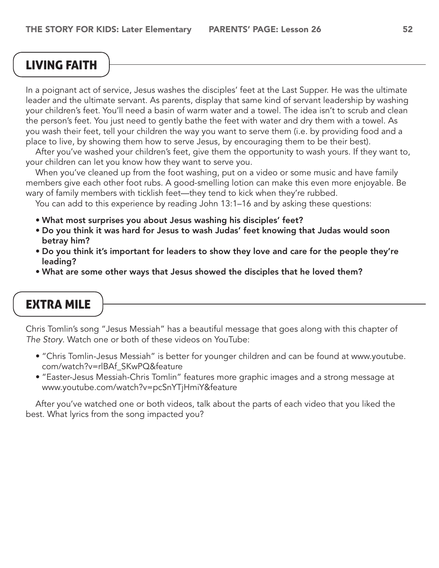### LIVING FAITH

In a poignant act of service, Jesus washes the disciples' feet at the Last Supper. He was the ultimate leader and the ultimate servant. As parents, display that same kind of servant leadership by washing your children's feet. You'll need a basin of warm water and a towel. The idea isn't to scrub and clean the person's feet. You just need to gently bathe the feet with water and dry them with a towel. As you wash their feet, tell your children the way you want to serve them (i.e. by providing food and a place to live, by showing them how to serve Jesus, by encouraging them to be their best).

After you've washed your children's feet, give them the opportunity to wash yours. If they want to, your children can let you know how they want to serve you.

When you've cleaned up from the foot washing, put on a video or some music and have family members give each other foot rubs. A good-smelling lotion can make this even more enjoyable. Be wary of family members with ticklish feet—they tend to kick when they're rubbed.

You can add to this experience by reading John 13:1–16 and by asking these questions:

- What most surprises you about Jesus washing his disciples' feet?
- Do you think it was hard for Jesus to wash Judas' feet knowing that Judas would soon betray him?
- Do you think it's important for leaders to show they love and care for the people they're leading?
- What are some other ways that Jesus showed the disciples that he loved them?

### EXTRA MILE

Chris Tomlin's song "Jesus Messiah" has a beautiful message that goes along with this chapter of *The Story*. Watch one or both of these videos on YouTube:

- "Chris Tomlin-Jesus Messiah" is better for younger children and can be found at www.youtube. com/watch?v=rlBAf\_SKwPQ&feature
- "Easter-Jesus Messiah-Chris Tomlin" features more graphic images and a strong message at www.youtube.com/watch?v=pcSnYTjHmiY&feature

After you've watched one or both videos, talk about the parts of each video that you liked the best. What lyrics from the song impacted you?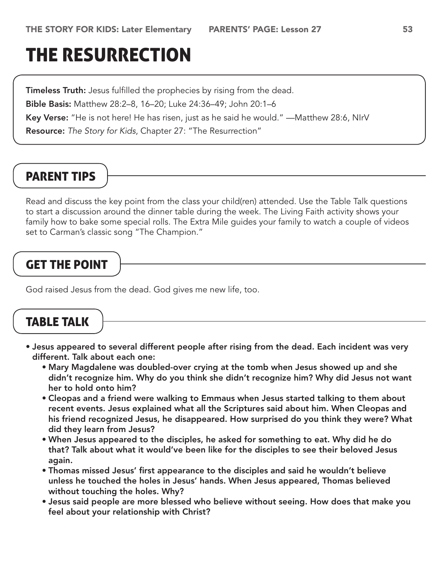# THE RESURRECTION

**Timeless Truth:** Jesus fulfilled the prophecies by rising from the dead. Bible Basis: Matthew 28:2–8, 16–20; Luke 24:36–49; John 20:1–6 Key Verse: "He is not here! He has risen, just as he said he would." - Matthew 28:6, NIrV Resource: *The Story for Kids*, Chapter 27: "The Resurrection"

# PARENT TIPS

Read and discuss the key point from the class your child(ren) attended. Use the Table Talk questions to start a discussion around the dinner table during the week. The Living Faith activity shows your family how to bake some special rolls. The Extra Mile guides your family to watch a couple of videos set to Carman's classic song "The Champion."

## GET THE POINT

God raised Jesus from the dead. God gives me new life, too.

### TABLE TALK

- Jesus appeared to several different people after rising from the dead. Each incident was very different. Talk about each one:
	- Mary Magdalene was doubled-over crying at the tomb when Jesus showed up and she didn't recognize him. Why do you think she didn't recognize him? Why did Jesus not want her to hold onto him?
	- Cleopas and a friend were walking to Emmaus when Jesus started talking to them about recent events. Jesus explained what all the Scriptures said about him. When Cleopas and his friend recognized Jesus, he disappeared. How surprised do you think they were? What did they learn from Jesus?
	- When Jesus appeared to the disciples, he asked for something to eat. Why did he do that? Talk about what it would've been like for the disciples to see their beloved Jesus again.
	- Thomas missed Jesus' first appearance to the disciples and said he wouldn't believe unless he touched the holes in Jesus' hands. When Jesus appeared, Thomas believed without touching the holes. Why?
	- Jesus said people are more blessed who believe without seeing. How does that make you feel about your relationship with Christ?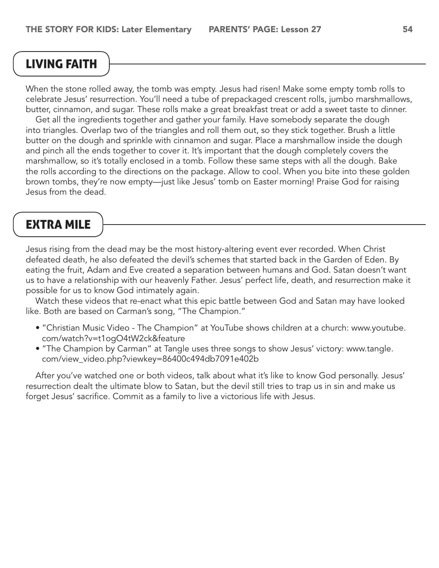## LIVING FAITH

When the stone rolled away, the tomb was empty. Jesus had risen! Make some empty tomb rolls to celebrate Jesus' resurrection. You'll need a tube of prepackaged crescent rolls, jumbo marshmallows, butter, cinnamon, and sugar. These rolls make a great breakfast treat or add a sweet taste to dinner.

Get all the ingredients together and gather your family. Have somebody separate the dough into triangles. Overlap two of the triangles and roll them out, so they stick together. Brush a little butter on the dough and sprinkle with cinnamon and sugar. Place a marshmallow inside the dough and pinch all the ends together to cover it. It's important that the dough completely covers the marshmallow, so it's totally enclosed in a tomb. Follow these same steps with all the dough. Bake the rolls according to the directions on the package. Allow to cool. When you bite into these golden brown tombs, they're now empty—just like Jesus' tomb on Easter morning! Praise God for raising Jesus from the dead.

### EXTRA MILE

Jesus rising from the dead may be the most history-altering event ever recorded. When Christ defeated death, he also defeated the devil's schemes that started back in the Garden of Eden. By eating the fruit, Adam and Eve created a separation between humans and God. Satan doesn't want us to have a relationship with our heavenly Father. Jesus' perfect life, death, and resurrection make it possible for us to know God intimately again.

Watch these videos that re-enact what this epic battle between God and Satan may have looked like. Both are based on Carman's song, "The Champion."

- "Christian Music Video The Champion" at YouTube shows children at a church: www.youtube. com/watch?v=t1ogO4tW2ck&feature
- "The Champion by Carman" at Tangle uses three songs to show Jesus' victory: www.tangle. com/view\_video.php?viewkey=86400c494db7091e402b

After you've watched one or both videos, talk about what it's like to know God personally. Jesus' resurrection dealt the ultimate blow to Satan, but the devil still tries to trap us in sin and make us forget Jesus' sacrifice. Commit as a family to live a victorious life with Jesus.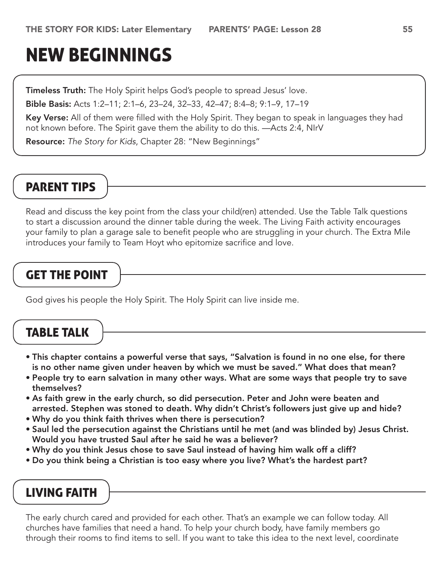# NEW BEGINNINGS

Timeless Truth: The Holy Spirit helps God's people to spread Jesus' love.

Bible Basis: Acts 1:2–11; 2:1–6, 23–24, 32–33, 42–47; 8:4–8; 9:1–9, 17–19

Key Verse: All of them were filled with the Holy Spirit. They began to speak in languages they had not known before. The Spirit gave them the ability to do this. —Acts 2:4, NIrV

Resource: *The Story for Kids*, Chapter 28: "New Beginnings"

### PARENT TIPS

Read and discuss the key point from the class your child(ren) attended. Use the Table Talk questions to start a discussion around the dinner table during the week. The Living Faith activity encourages your family to plan a garage sale to benefit people who are struggling in your church. The Extra Mile introduces your family to Team Hoyt who epitomize sacrifice and love.

### GET THE POINT

God gives his people the Holy Spirit. The Holy Spirit can live inside me.

### TABLE TALK

- This chapter contains a powerful verse that says, "Salvation is found in no one else, for there is no other name given under heaven by which we must be saved." What does that mean?
- People try to earn salvation in many other ways. What are some ways that people try to save themselves?
- As faith grew in the early church, so did persecution. Peter and John were beaten and arrested. Stephen was stoned to death. Why didn't Christ's followers just give up and hide?
- Why do you think faith thrives when there is persecution?
- Saul led the persecution against the Christians until he met (and was blinded by) Jesus Christ. Would you have trusted Saul after he said he was a believer?
- Why do you think Jesus chose to save Saul instead of having him walk off a cliff?
- Do you think being a Christian is too easy where you live? What's the hardest part?

#### LIVING FAITH

The early church cared and provided for each other. That's an example we can follow today. All churches have families that need a hand. To help your church body, have family members go through their rooms to find items to sell. If you want to take this idea to the next level, coordinate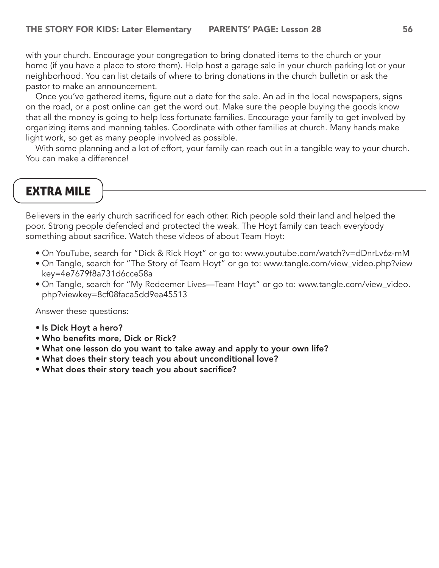with your church. Encourage your congregation to bring donated items to the church or your home (if you have a place to store them). Help host a garage sale in your church parking lot or your neighborhood. You can list details of where to bring donations in the church bulletin or ask the pastor to make an announcement.

Once you've gathered items, figure out a date for the sale. An ad in the local newspapers, signs on the road, or a post online can get the word out. Make sure the people buying the goods know that all the money is going to help less fortunate families. Encourage your family to get involved by organizing items and manning tables. Coordinate with other families at church. Many hands make light work, so get as many people involved as possible.

With some planning and a lot of effort, your family can reach out in a tangible way to your church. You can make a difference!

## EXTRA MILE

Believers in the early church sacrificed for each other. Rich people sold their land and helped the poor. Strong people defended and protected the weak. The Hoyt family can teach everybody something about sacrifice. Watch these videos of about Team Hoyt:

- On YouTube, search for "Dick & Rick Hoyt" or go to: www.youtube.com/watch?v=dDnrLv6z-mM
- On Tangle, search for "The Story of Team Hoyt" or go to: www.tangle.com/view\_video.php?view key=4e7679f8a731d6cce58a
- On Tangle, search for "My Redeemer Lives—Team Hoyt" or go to: www.tangle.com/view\_video. php?viewkey=8cf08faca5dd9ea45513

Answer these questions:

- Is Dick Hoyt a hero?
- Who benefits more, Dick or Rick?
- What one lesson do you want to take away and apply to your own life?
- What does their story teach you about unconditional love?
- What does their story teach you about sacrifice?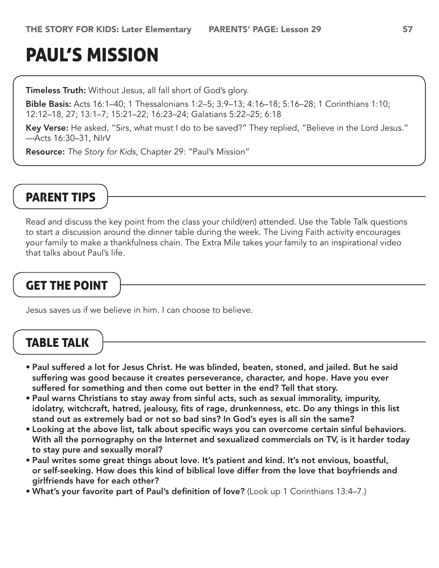# PAUL'S MISSION

Timeless Truth: Without Jesus, all fall short of God's glory.

Bible Basis: Acts 16:1–40; 1 Thessalonians 1:2–5; 3:9–13; 4:16–18; 5:16–28; 1 Corinthians 1:10; 12:12–18, 27; 13:1–7; 15:21–22; 16:23–24; Galatians 5:22–25; 6:18

Key Verse: He asked, "Sirs, what must I do to be saved?" They replied, "Believe in the Lord Jesus." —Acts 16:30–31, NIrV

Resource: *The Story for Kids*, Chapter 29: "Paul's Mission"

### PARENT TIPS

Read and discuss the key point from the class your child(ren) attended. Use the Table Talk questions to start a discussion around the dinner table during the week. The Living Faith activity encourages your family to make a thankfulness chain. The Extra Mile takes your family to an inspirational video that talks about Paul's life.

### GET THE POINT

Jesus saves us if we believe in him. I can choose to believe.

#### TABLE TALK

- Paul suffered a lot for Jesus Christ. He was blinded, beaten, stoned, and jailed. But he said suffering was good because it creates perseverance, character, and hope. Have you ever suffered for something and then come out better in the end? Tell that story.
- Paul warns Christians to stay away from sinful acts, such as sexual immorality, impurity, idolatry, witchcraft, hatred, jealousy, fits of rage, drunkenness, etc. Do any things in this list stand out as extremely bad or not so bad sins? In God's eyes is all sin the same?
- Looking at the above list, talk about specific ways you can overcome certain sinful behaviors. With all the pornography on the Internet and sexualized commercials on TV, is it harder today to stay pure and sexually moral?
- Paul writes some great things about love. It's patient and kind. It's not envious, boastful, or self-seeking. How does this kind of biblical love differ from the love that boyfriends and girlfriends have for each other?
- What's your favorite part of Paul's definition of love? (Look up 1 Corinthians 13:4–7.)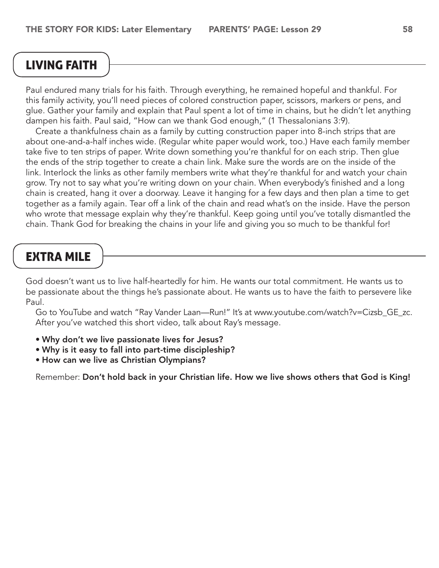### LIVING FAITH

Paul endured many trials for his faith. Through everything, he remained hopeful and thankful. For this family activity, you'll need pieces of colored construction paper, scissors, markers or pens, and glue. Gather your family and explain that Paul spent a lot of time in chains, but he didn't let anything dampen his faith. Paul said, "How can we thank God enough," (1 Thessalonians 3:9).

Create a thankfulness chain as a family by cutting construction paper into 8-inch strips that are about one-and-a-half inches wide. (Regular white paper would work, too.) Have each family member take five to ten strips of paper. Write down something you're thankful for on each strip. Then glue the ends of the strip together to create a chain link. Make sure the words are on the inside of the link. Interlock the links as other family members write what they're thankful for and watch your chain grow. Try not to say what you're writing down on your chain. When everybody's finished and a long chain is created, hang it over a doorway. Leave it hanging for a few days and then plan a time to get together as a family again. Tear off a link of the chain and read what's on the inside. Have the person who wrote that message explain why they're thankful. Keep going until you've totally dismantled the chain. Thank God for breaking the chains in your life and giving you so much to be thankful for!

## EXTRA MILE

God doesn't want us to live half-heartedly for him. He wants our total commitment. He wants us to be passionate about the things he's passionate about. He wants us to have the faith to persevere like Paul.

Go to YouTube and watch "Ray Vander Laan—Run!" It's at www.youtube.com/watch?v=Cizsb\_GE\_zc. After you've watched this short video, talk about Ray's message.

- Why don't we live passionate lives for Jesus?
- Why is it easy to fall into part-time discipleship?
- How can we live as Christian Olympians?

Remember: Don't hold back in your Christian life. How we live shows others that God is King!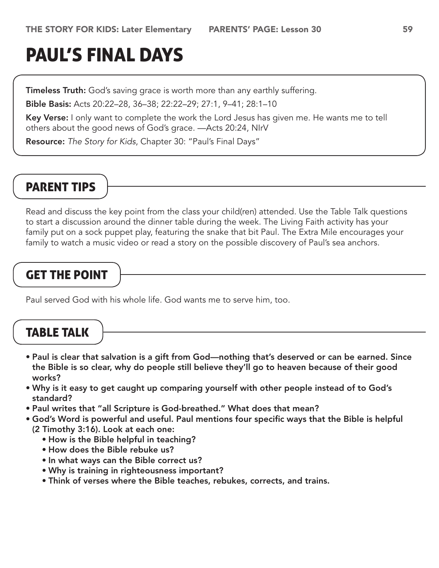# PAUL'S FINAL DAYS

**Timeless Truth:** God's saving grace is worth more than any earthly suffering.

Bible Basis: Acts 20:22–28, 36–38; 22:22–29; 27:1, 9–41; 28:1–10

Key Verse: I only want to complete the work the Lord Jesus has given me. He wants me to tell others about the good news of God's grace. —Acts 20:24, NIrV

Resource: *The Story for Kids*, Chapter 30: "Paul's Final Days"

### PARENT TIPS

Read and discuss the key point from the class your child(ren) attended. Use the Table Talk questions to start a discussion around the dinner table during the week. The Living Faith activity has your family put on a sock puppet play, featuring the snake that bit Paul. The Extra Mile encourages your family to watch a music video or read a story on the possible discovery of Paul's sea anchors.

### GET THE POINT

Paul served God with his whole life. God wants me to serve him, too.

### TABLE TALK

- Paul is clear that salvation is a gift from God—nothing that's deserved or can be earned. Since the Bible is so clear, why do people still believe they'll go to heaven because of their good works?
- Why is it easy to get caught up comparing yourself with other people instead of to God's standard?
- Paul writes that "all Scripture is God-breathed." What does that mean?
- God's Word is powerful and useful. Paul mentions four specific ways that the Bible is helpful (2 Timothy 3:16). Look at each one:
	- How is the Bible helpful in teaching?
	- How does the Bible rebuke us?
	- In what ways can the Bible correct us?
	- Why is training in righteousness important?
	- Think of verses where the Bible teaches, rebukes, corrects, and trains.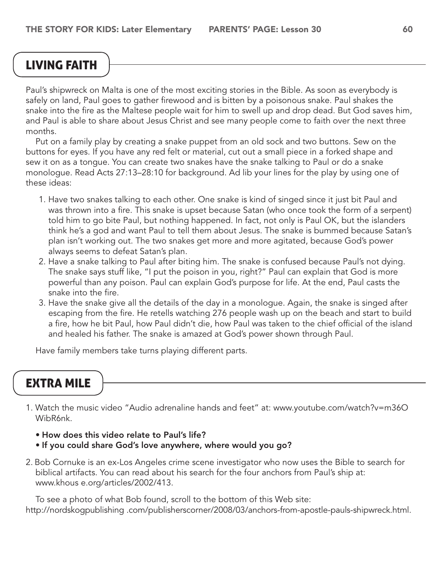# LIVING FAITH

Paul's shipwreck on Malta is one of the most exciting stories in the Bible. As soon as everybody is safely on land, Paul goes to gather firewood and is bitten by a poisonous snake. Paul shakes the snake into the fire as the Maltese people wait for him to swell up and drop dead. But God saves him, and Paul is able to share about Jesus Christ and see many people come to faith over the next three months.

Put on a family play by creating a snake puppet from an old sock and two buttons. Sew on the buttons for eyes. If you have any red felt or material, cut out a small piece in a forked shape and sew it on as a tongue. You can create two snakes have the snake talking to Paul or do a snake monologue. Read Acts 27:13–28:10 for background. Ad lib your lines for the play by using one of these ideas:

- 1. Have two snakes talking to each other. One snake is kind of singed since it just bit Paul and was thrown into a fire. This snake is upset because Satan (who once took the form of a serpent) told him to go bite Paul, but nothing happened. In fact, not only is Paul OK, but the islanders think he's a god and want Paul to tell them about Jesus. The snake is bummed because Satan's plan isn't working out. The two snakes get more and more agitated, because God's power always seems to defeat Satan's plan.
- 2. Have a snake talking to Paul after biting him. The snake is confused because Paul's not dying. The snake says stuff like, "I put the poison in you, right?" Paul can explain that God is more powerful than any poison. Paul can explain God's purpose for life. At the end, Paul casts the snake into the fire.
- 3. Have the snake give all the details of the day in a monologue. Again, the snake is singed after escaping from the fire. He retells watching 276 people wash up on the beach and start to build a fire, how he bit Paul, how Paul didn't die, how Paul was taken to the chief official of the island and healed his father. The snake is amazed at God's power shown through Paul.

Have family members take turns playing different parts.

### EXTRA MILE

- 1. Watch the music video "Audio adrenaline hands and feet" at: www.youtube.com/watch?v=m36O WibR6nk.
	- How does this video relate to Paul's life?
	- If you could share God's love anywhere, where would you go?
- 2. Bob Cornuke is an ex-Los Angeles crime scene investigator who now uses the Bible to search for biblical artifacts. You can read about his search for the four anchors from Paul's ship at: www.khous e.org/articles/2002/413.

To see a photo of what Bob found, scroll to the bottom of this Web site: http://nordskogpublishing .com/publisherscorner/2008/03/anchors-from-apostle-pauls-shipwreck.html.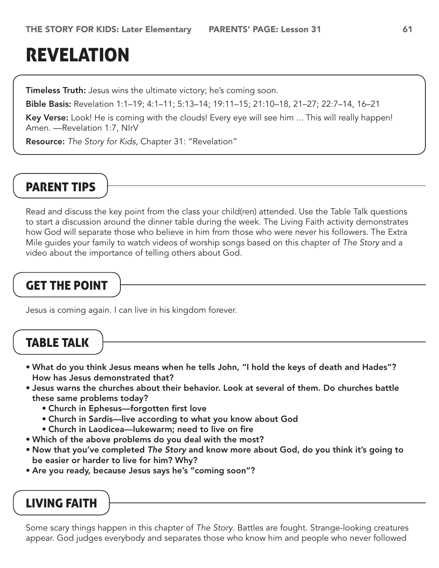# REVELATION

**Timeless Truth:** Jesus wins the ultimate victory; he's coming soon.

Bible Basis: Revelation 1:1–19; 4:1–11; 5:13–14; 19:11–15; 21:10–18, 21–27; 22:7–14, 16–21

Key Verse: Look! He is coming with the clouds! Every eye will see him ... This will really happen! Amen. —Revelation 1:7, NIrV

Resource: *The Story for Kids*, Chapter 31: "Revelation"

## PARENT TIPS

Read and discuss the key point from the class your child(ren) attended. Use the Table Talk questions to start a discussion around the dinner table during the week. The Living Faith activity demonstrates how God will separate those who believe in him from those who were never his followers. The Extra Mile guides your family to watch videos of worship songs based on this chapter of *The Story* and a video about the importance of telling others about God.

## GET THE POINT

Jesus is coming again. I can live in his kingdom forever.

## TABLE TALK

- What do you think Jesus means when he tells John, "I hold the keys of death and Hades"? How has Jesus demonstrated that?
- Jesus warns the churches about their behavior. Look at several of them. Do churches battle these same problems today?
	- Church in Ephesus—forgotten first love
	- Church in Sardis—live according to what you know about God
	- Church in Laodicea—lukewarm; need to live on fire
- Which of the above problems do you deal with the most?
- Now that you've completed *The Story* and know more about God, do you think it's going to be easier or harder to live for him? Why?
- Are you ready, because Jesus says he's "coming soon"?

## LIVING FAITH

Some scary things happen in this chapter of *The Story*. Battles are fought. Strange-looking creatures appear. God judges everybody and separates those who know him and people who never followed